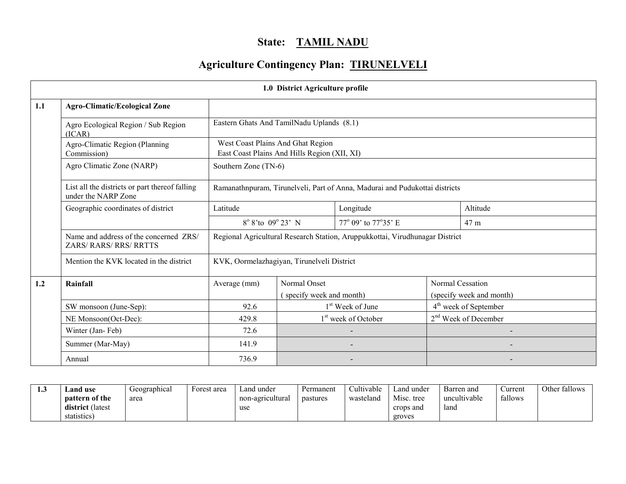## State: TAMIL NADU

# Agriculture Contingency Plan: TIRUNELVELI

|     | 1.0 District Agriculture profile                                      |                                                                                   |                                          |                                                                              |  |                                                     |  |  |  |
|-----|-----------------------------------------------------------------------|-----------------------------------------------------------------------------------|------------------------------------------|------------------------------------------------------------------------------|--|-----------------------------------------------------|--|--|--|
| 1.1 | <b>Agro-Climatic/Ecological Zone</b>                                  |                                                                                   |                                          |                                                                              |  |                                                     |  |  |  |
|     | Agro Ecological Region / Sub Region<br>(ICAR)                         | Eastern Ghats And TamilNadu Uplands (8.1)                                         |                                          |                                                                              |  |                                                     |  |  |  |
|     | Agro-Climatic Region (Planning<br>Commission)                         | West Coast Plains And Ghat Region<br>East Coast Plains And Hills Region (XII, XI) |                                          |                                                                              |  |                                                     |  |  |  |
|     | Agro Climatic Zone (NARP)                                             | Southern Zone (TN-6)                                                              |                                          |                                                                              |  |                                                     |  |  |  |
|     | List all the districts or part thereof falling<br>under the NARP Zone |                                                                                   |                                          | Ramanathnpuram, Tirunelveli, Part of Anna, Madurai and Pudukottai districts  |  |                                                     |  |  |  |
|     | Geographic coordinates of district                                    | Latitude                                                                          | Longitude                                |                                                                              |  | Altitude                                            |  |  |  |
|     |                                                                       | 8° 8'to 09° 23' N                                                                 |                                          | 77° 09' to 77°35' E                                                          |  | 47 m                                                |  |  |  |
|     | Name and address of the concerned ZRS/<br>ZARS/RARS/RRS/RRTTS         |                                                                                   |                                          | Regional Agricultural Research Station, Aruppukkottai, Virudhunagar District |  |                                                     |  |  |  |
|     | Mention the KVK located in the district                               | KVK, Oormelazhagiyan, Tirunelveli District                                        |                                          |                                                                              |  |                                                     |  |  |  |
| 1.2 | Rainfall                                                              | Average (mm)                                                                      | Normal Onset<br>(specify week and month) |                                                                              |  | <b>Normal Cessation</b><br>(specify week and month) |  |  |  |
|     | SW monsoon (June-Sep):                                                | 92.6                                                                              |                                          | 1 <sup>st</sup> Week of June                                                 |  | 4 <sup>th</sup> week of September                   |  |  |  |
|     | NE Monsoon(Oct-Dec):                                                  | 429.8                                                                             |                                          | 1 <sup>st</sup> week of October                                              |  | 2 <sup>nd</sup> Week of December                    |  |  |  |
|     | Winter (Jan-Feb)                                                      | 72.6                                                                              |                                          |                                                                              |  |                                                     |  |  |  |
|     | Summer (Mar-May)                                                      | 141.9                                                                             |                                          |                                                                              |  |                                                     |  |  |  |
|     | Annual                                                                | 736.9                                                                             |                                          |                                                                              |  |                                                     |  |  |  |

| 1.J | and use.          | Geographical | Forest area | Land under       | Permanent | Cultivable | Land under | Barren and   | Current | Other fallows |
|-----|-------------------|--------------|-------------|------------------|-----------|------------|------------|--------------|---------|---------------|
|     | pattern of the    | area         |             | non-agricultural | pastures  | wasteland  | Misc. tree | uncultivable | fallows |               |
|     | district (latest) |              |             | use              |           |            | crops and  | land         |         |               |
|     | statistics        |              |             |                  |           |            | groves     |              |         |               |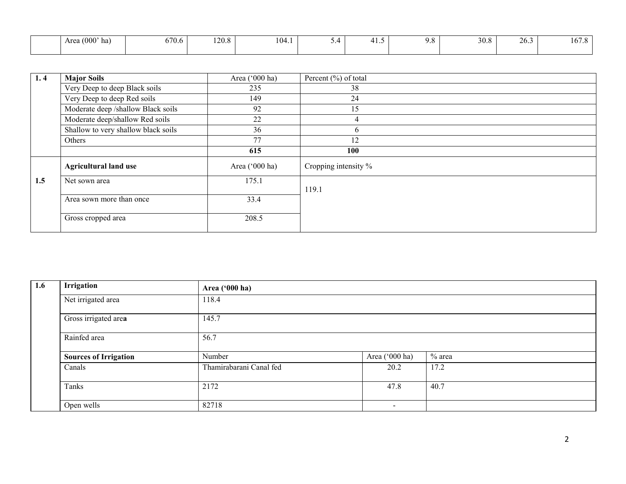| Area $(000)$ '<br><sub>na</sub> | 670.6 | 120.8 | 104.1 | $\sim\cdot$ . | . | ິບ<br>$\overline{\phantom{a}}$ | 30.8 | 26.3 | $\epsilon$<br>$\sim$<br>10/3 |
|---------------------------------|-------|-------|-------|---------------|---|--------------------------------|------|------|------------------------------|
|                                 |       |       |       |               |   |                                |      |      |                              |

| 1, 4 | <b>Major Soils</b>                  | Area ('000 ha) | Percent $(\% )$ of total |
|------|-------------------------------------|----------------|--------------------------|
|      | Very Deep to deep Black soils       | 235            | 38                       |
|      | Very Deep to deep Red soils         | 149            | 24                       |
|      | Moderate deep /shallow Black soils  | 92             | 15                       |
|      | Moderate deep/shallow Red soils     | 22             | 4                        |
|      | Shallow to very shallow black soils | 36             | <sub>(</sub>             |
|      | Others                              | 77             | 12                       |
|      |                                     | 615            | <b>100</b>               |
|      | <b>Agricultural land use</b>        | Area ('000 ha) | Cropping intensity %     |
| 1.5  | Net sown area                       | 175.1          |                          |
|      |                                     |                | 119.1                    |
|      | Area sown more than once            | 33.4           |                          |
|      |                                     |                |                          |
|      | Gross cropped area                  | 208.5          |                          |
|      |                                     |                |                          |

| Irrigation                   | Area ('000 ha)          |                          |          |  |  |  |  |  |  |
|------------------------------|-------------------------|--------------------------|----------|--|--|--|--|--|--|
| Net irrigated area           | 118.4                   |                          |          |  |  |  |  |  |  |
| Gross irrigated area         | 145.7                   |                          |          |  |  |  |  |  |  |
| Rainfed area                 | 56.7                    |                          |          |  |  |  |  |  |  |
| <b>Sources of Irrigation</b> | Number                  | Area ('000 ha)           | $%$ area |  |  |  |  |  |  |
| Canals                       | Thamirabarani Canal fed | 20.2                     | 17.2     |  |  |  |  |  |  |
| Tanks                        | 2172                    | 47.8                     | 40.7     |  |  |  |  |  |  |
| Open wells                   | 82718                   | $\overline{\phantom{a}}$ |          |  |  |  |  |  |  |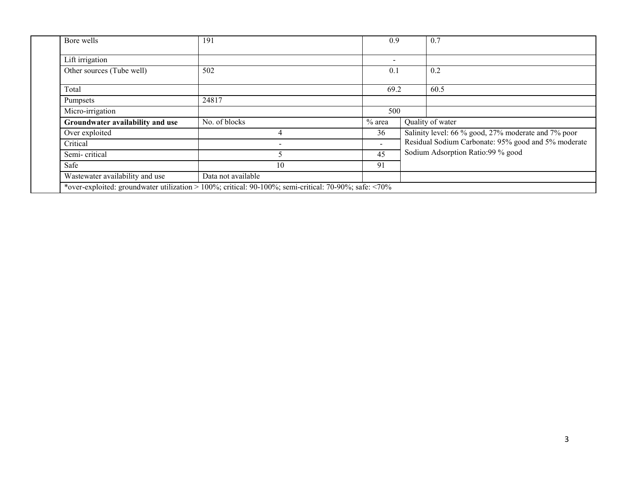| Bore wells                       | 191                | 0.9                      | 0.7                                                 |
|----------------------------------|--------------------|--------------------------|-----------------------------------------------------|
| Lift irrigation                  |                    |                          |                                                     |
| Other sources (Tube well)        | 502                | 0.1                      | 0.2                                                 |
| Total                            |                    | 69.2                     | 60.5                                                |
| Pumpsets                         | 24817              |                          |                                                     |
| Micro-irrigation                 |                    | 500                      |                                                     |
| Groundwater availability and use | No. of blocks      | $%$ area                 | Quality of water                                    |
| Over exploited                   | 4                  | 36                       | Salinity level: 66 % good, 27% moderate and 7% poor |
| Critical                         |                    | $\overline{\phantom{0}}$ | Residual Sodium Carbonate: 95% good and 5% moderate |
| Semi-critical                    |                    | 45                       | Sodium Adsorption Ratio:99 % good                   |
| Safe                             | 10                 | 91                       |                                                     |
| Wastewater availability and use  | Data not available |                          |                                                     |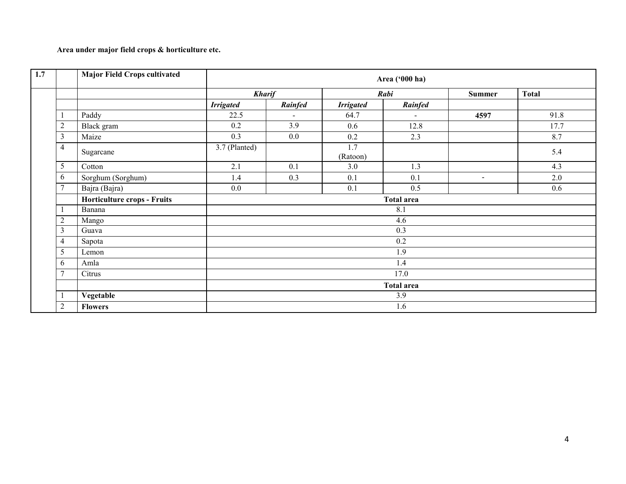## Area under major field crops & horticulture etc.

| 1.7 |                | <b>Major Field Crops cultivated</b> |                   |         |                  | Area ('000 ha) |               |              |  |  |
|-----|----------------|-------------------------------------|-------------------|---------|------------------|----------------|---------------|--------------|--|--|
|     |                |                                     | <b>Kharif</b>     |         |                  | Rabi           | <b>Summer</b> | <b>Total</b> |  |  |
|     |                |                                     | <b>Irrigated</b>  | Rainfed | <b>Irrigated</b> | Rainfed        |               |              |  |  |
|     | -1             | Paddy                               | 22.5              | ÷.      | 64.7             | $\sim$         | 4597          | 91.8         |  |  |
|     | $\overline{2}$ | Black gram                          | 0.2               | 3.9     | 0.6              | 12.8           |               | 17.7         |  |  |
|     | 3              | Maize                               | 0.3               | 0.0     | 0.2              | 2.3            |               | 8.7          |  |  |
|     | 4              | Sugarcane                           | 3.7 (Planted)     |         | 1.7<br>(Ratoon)  |                |               | 5.4          |  |  |
|     | $\sqrt{5}$     | Cotton                              | 2.1               | 0.1     | 3.0              | 1.3            |               | 4.3          |  |  |
|     | 6              | Sorghum (Sorghum)                   | 1.4               | 0.3     | 0.1              | 0.1            | $\sim$        | 2.0          |  |  |
|     | 7              | Bajra (Bajra)                       | 0.0               |         | 0.1              | 0.5            |               | 0.6          |  |  |
|     |                | Horticulture crops - Fruits         |                   |         |                  | Total area     |               |              |  |  |
|     |                | Banana                              |                   |         |                  | 8.1            |               |              |  |  |
|     | $\overline{2}$ | Mango                               |                   |         |                  | 4.6            |               |              |  |  |
|     | 3              | Guava                               |                   |         |                  | 0.3            |               |              |  |  |
|     | 4              | Sapota                              |                   |         |                  | 0.2            |               |              |  |  |
|     | 5              | Lemon                               |                   |         |                  | 1.9            |               |              |  |  |
|     | 6              | Amla                                |                   |         |                  | 1.4            |               |              |  |  |
|     | $\overline{7}$ | Citrus                              | 17.0              |         |                  |                |               |              |  |  |
|     |                |                                     | <b>Total area</b> |         |                  |                |               |              |  |  |
|     |                | Vegetable                           |                   |         |                  | 3.9            |               |              |  |  |
|     | $\overline{2}$ | <b>Flowers</b>                      |                   |         |                  | 1.6            |               |              |  |  |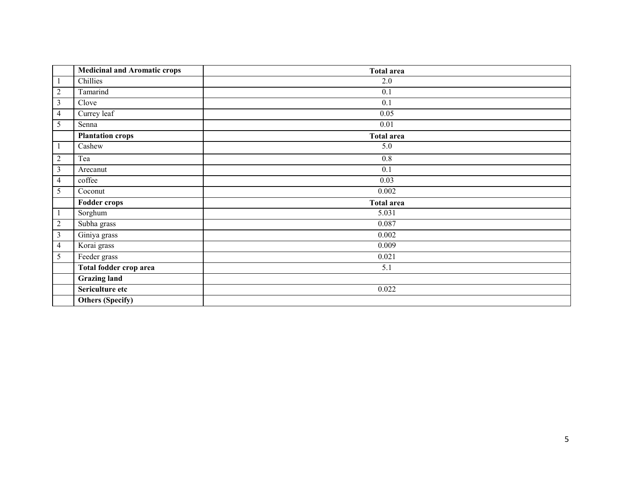|                | <b>Medicinal and Aromatic crops</b> | <b>Total area</b> |
|----------------|-------------------------------------|-------------------|
|                | Chillies                            | 2.0               |
| $\overline{c}$ | Tamarind                            | 0.1               |
| 3              | Clove                               | 0.1               |
| 4              | Currey leaf                         | 0.05              |
| 5              | Senna                               | $0.01\,$          |
|                | <b>Plantation crops</b>             | Total area        |
|                | Cashew                              | 5.0               |
| $\mathfrak{2}$ | Tea                                 | 0.8               |
| 3              | Arecanut                            | 0.1               |
| 4              | coffee                              | 0.03              |
| 5              | Coconut                             | 0.002             |
|                | <b>Fodder crops</b>                 | <b>Total area</b> |
|                | Sorghum                             | 5.031             |
| $\mathfrak{2}$ | Subha grass                         | 0.087             |
| 3              | Giniya grass                        | 0.002             |
| 4              | Korai grass                         | 0.009             |
| 5              | Feeder grass                        | 0.021             |
|                | Total fodder crop area              | 5.1               |
|                | <b>Grazing land</b>                 |                   |
|                | Sericulture etc                     | 0.022             |
|                | <b>Others (Specify)</b>             |                   |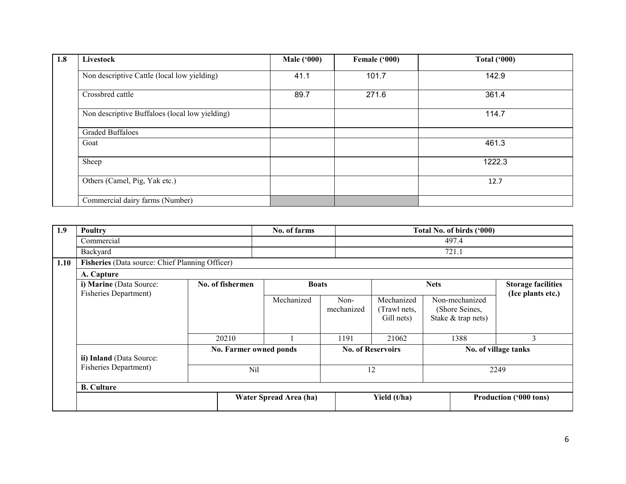| 1.8 | Livestock                                      | <b>Male ('000)</b> | Female ('000) | Total $(900)$ |
|-----|------------------------------------------------|--------------------|---------------|---------------|
|     | Non descriptive Cattle (local low yielding)    | 41.1               | 101.7         | 142.9         |
|     | Crossbred cattle                               | 89.7               | 271.6         | 361.4         |
|     | Non descriptive Buffaloes (local low yielding) |                    |               | 114.7         |
|     | <b>Graded Buffaloes</b>                        |                    |               |               |
|     | Goat                                           |                    |               | 461.3         |
|     | Sheep                                          |                    |               | 1222.3        |
|     | Others (Camel, Pig, Yak etc.)                  |                    |               | 12.7          |
|     | Commercial dairy farms (Number)                |                    |               |               |

| 1.9  | Poultry                                                 |       |                                  |                        | No. of farms       |                                          | Total No. of birds ('000)                              |                                                |                        |  |
|------|---------------------------------------------------------|-------|----------------------------------|------------------------|--------------------|------------------------------------------|--------------------------------------------------------|------------------------------------------------|------------------------|--|
|      | Commercial                                              |       |                                  |                        |                    |                                          | 497.4                                                  |                                                |                        |  |
|      | Backyard                                                |       |                                  | 721.1                  |                    |                                          |                                                        |                                                |                        |  |
| 1.10 | Fisheries (Data source: Chief Planning Officer)         |       |                                  |                        |                    |                                          |                                                        |                                                |                        |  |
|      | A. Capture                                              |       |                                  |                        |                    |                                          |                                                        |                                                |                        |  |
|      | i) Marine (Data Source:<br><b>Fisheries Department)</b> |       | No. of fishermen<br><b>Boats</b> |                        | <b>Nets</b>        |                                          |                                                        | <b>Storage facilities</b><br>(Ice plants etc.) |                        |  |
|      |                                                         |       |                                  | Mechanized             | Non-<br>mechanized | Mechanized<br>(Trawl nets,<br>Gill nets) | Non-mechanized<br>(Shore Seines,<br>Stake & trap nets) |                                                |                        |  |
|      |                                                         | 20210 |                                  |                        | 1191               | 21062                                    | 1388                                                   |                                                | 3                      |  |
|      | ii) Inland (Data Source:                                |       | No. Farmer owned ponds           |                        |                    | <b>No. of Reservoirs</b>                 |                                                        | No. of village tanks                           |                        |  |
|      | <b>Fisheries Department)</b>                            |       | Nil                              |                        |                    | 12                                       |                                                        | 2249                                           |                        |  |
|      | <b>B.</b> Culture                                       |       |                                  |                        |                    |                                          |                                                        |                                                |                        |  |
|      |                                                         |       |                                  | Water Spread Area (ha) |                    | Yield (t/ha)                             |                                                        |                                                | Production ('000 tons) |  |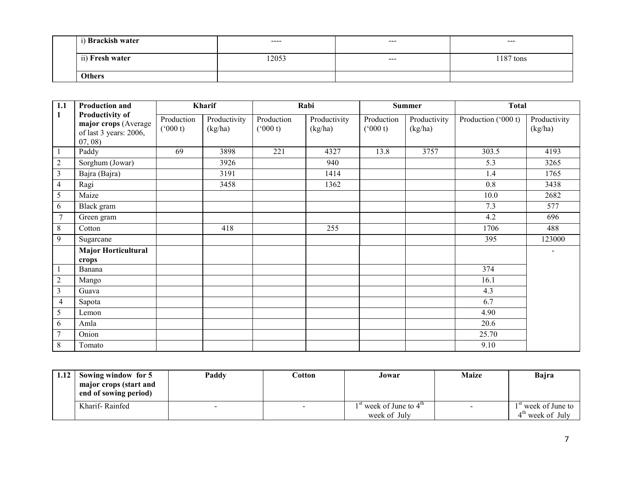| i) Brackish water | $\cdots$ | $-- -$  | $---$     |  |  |
|-------------------|----------|---------|-----------|--|--|
| ii) Fresh water   | 12053    | $- - -$ | 1187 tons |  |  |
| <b>Others</b>     |          |         |           |  |  |

| 1.1            | <b>Production and</b>                                                             |                       | Kharif                  |                             | Rabi                    |                             | <b>Summer</b>           | <b>Total</b>        |                         |
|----------------|-----------------------------------------------------------------------------------|-----------------------|-------------------------|-----------------------------|-------------------------|-----------------------------|-------------------------|---------------------|-------------------------|
| $\mathbf{1}$   | <b>Productivity of</b><br>major crops (Average<br>of last 3 years: 2006,<br>07,08 | Production<br>(000 t) | Productivity<br>(kg/ha) | Production<br>$(^{o}000 t)$ | Productivity<br>(kg/ha) | Production<br>$(^{o}000 t)$ | Productivity<br>(kg/ha) | Production ('000 t) | Productivity<br>(kg/ha) |
|                | Paddy                                                                             | 69                    | 3898                    | 221                         | 4327                    | 13.8                        | 3757                    | 303.5               | 4193                    |
| $\overline{c}$ | Sorghum (Jowar)                                                                   |                       | 3926                    |                             | 940                     |                             |                         | 5.3                 | 3265                    |
| 3              | Bajra (Bajra)                                                                     |                       | 3191                    |                             | 1414                    |                             |                         | 1.4                 | 1765                    |
| 4              | Ragi                                                                              |                       | 3458                    |                             | 1362                    |                             |                         | 0.8                 | 3438                    |
| 5              | Maize                                                                             |                       |                         |                             |                         |                             |                         | 10.0                | 2682                    |
| 6              | Black gram                                                                        |                       |                         |                             |                         |                             |                         | 7.3                 | 577                     |
| $\overline{7}$ | Green gram                                                                        |                       |                         |                             |                         |                             |                         | 4.2                 | 696                     |
| 8              | Cotton                                                                            |                       | 418                     |                             | 255                     |                             |                         | 1706                | 488                     |
| 9              | Sugarcane                                                                         |                       |                         |                             |                         |                             |                         | 395                 | 123000                  |
|                | <b>Major Horticultural</b><br>crops                                               |                       |                         |                             |                         |                             |                         |                     |                         |
|                | Banana                                                                            |                       |                         |                             |                         |                             |                         | 374                 |                         |
| $\overline{c}$ | Mango                                                                             |                       |                         |                             |                         |                             |                         | 16.1                |                         |
| 3              | Guava                                                                             |                       |                         |                             |                         |                             |                         | 4.3                 |                         |
| $\overline{4}$ | Sapota                                                                            |                       |                         |                             |                         |                             |                         | 6.7                 |                         |
| 5              | Lemon                                                                             |                       |                         |                             |                         |                             |                         | 4.90                |                         |
| 6              | Amla                                                                              |                       |                         |                             |                         |                             |                         | 20.6                |                         |
| $\overline{7}$ | Onion                                                                             |                       |                         |                             |                         |                             |                         | 25.70               |                         |
| 8              | Tomato                                                                            |                       |                         |                             |                         |                             |                         | 9.10                |                         |

| 1.12<br>Sowing window for 5<br>major crops (start and<br>end of sowing period) |                | Paddy | Cotton | Jowar                                         | <b>Maize</b> | Bajra                           |
|--------------------------------------------------------------------------------|----------------|-------|--------|-----------------------------------------------|--------------|---------------------------------|
|                                                                                | Kharif-Rainfed |       |        | <sup>st</sup> week of June to 4 <sup>th</sup> | $\sim$       | 1 <sup>st</sup> week of June to |
|                                                                                |                |       |        | week of July                                  |              | $4th$ week of July              |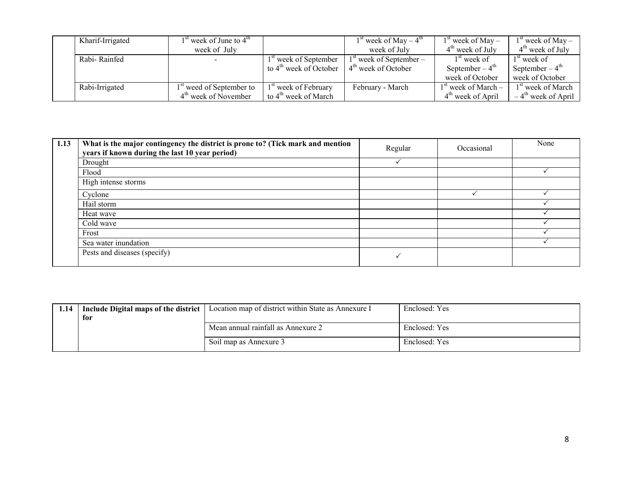| Kharif-Irrigated | $1st$ week of June to $4th$          |                                    | $1st$ week of May – $4th$               | $1st$ week of May –   | $1st$ week of May –              |
|------------------|--------------------------------------|------------------------------------|-----------------------------------------|-----------------------|----------------------------------|
|                  | week of July                         |                                    | week of July                            | $4th$ week of July    | $4th$ week of July               |
| Rabi-Rainfed     |                                      | 1 <sup>st</sup> week of September  | 1 <sup>st</sup> week of September –     | $1st$ week of         | $1st$ week of                    |
|                  |                                      | to 4 <sup>th</sup> week of October | $\perp$ 4 <sup>th</sup> week of October | September – $4th$     | September – $4^{\text{th}}$      |
|                  |                                      |                                    |                                         | week of October       | week of October                  |
| Rabi-Irrigated   | 1 <sup>st</sup> weed of September to | <sup>1st</sup> week of February    | February - March                        | $1st$ week of March – | 1 <sup>st</sup> week of March    |
|                  | $4th$ week of November               | to 4 <sup>th</sup> week of March   |                                         | $4th$ week of April   | $-4$ <sup>th</sup> week of April |

| 1.13 | What is the major contingency the district is prone to? (Tick mark and mention<br>years if known during the last 10 year period) | Regular | Occasional | None |
|------|----------------------------------------------------------------------------------------------------------------------------------|---------|------------|------|
|      | Drought                                                                                                                          |         |            |      |
|      | Flood                                                                                                                            |         |            |      |
|      | High intense storms                                                                                                              |         |            |      |
|      | Cyclone                                                                                                                          |         |            |      |
|      | Hail storm                                                                                                                       |         |            |      |
|      | Heat wave                                                                                                                        |         |            |      |
|      | Cold wave                                                                                                                        |         |            |      |
|      | Frost                                                                                                                            |         |            |      |
|      | Sea water inundation                                                                                                             |         |            |      |
|      | Pests and diseases (specify)                                                                                                     |         |            |      |

| 1.14 | Include Digital maps of the district<br>for | Location map of district within State as Annexure I | Enclosed: Yes |
|------|---------------------------------------------|-----------------------------------------------------|---------------|
|      |                                             | Mean annual rainfall as Annexure 2                  | Enclosed: Yes |
|      |                                             | Soil map as Annexure 3                              | Enclosed: Yes |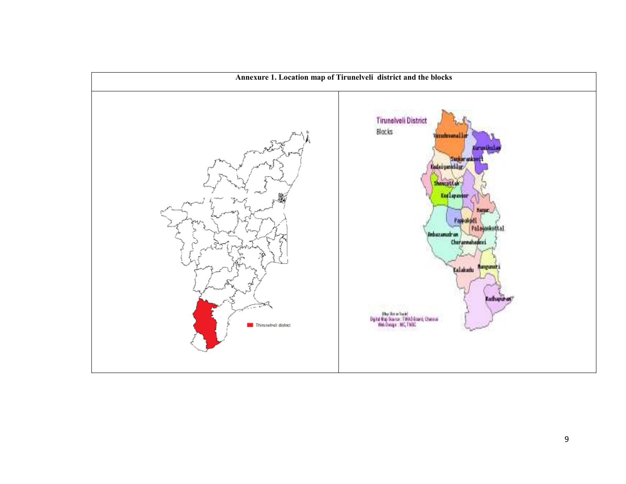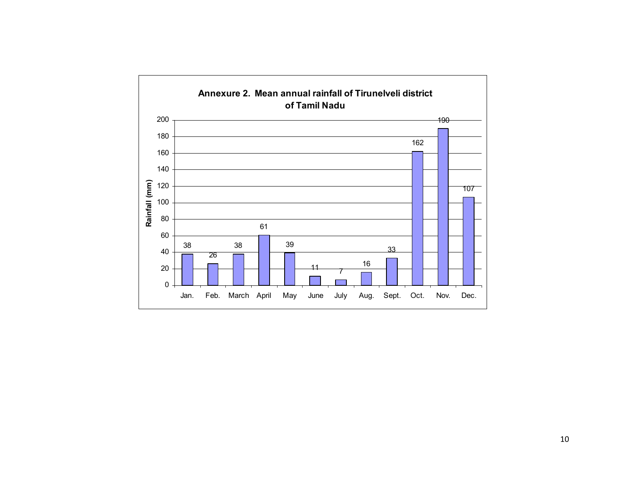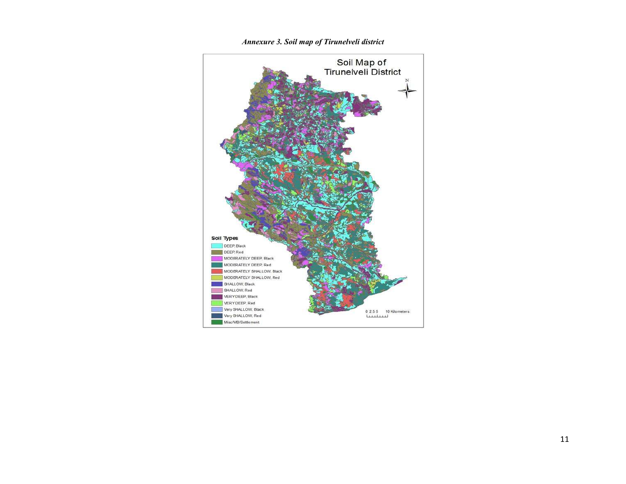

Annexure 3. Soil map of Tirunelveli district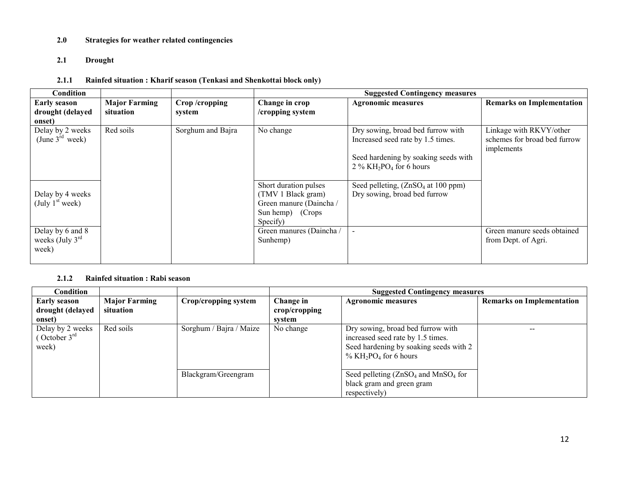## 2.0 Strategies for weather related contingencies

## 2.1 Drought

## 2.1.1 Rainfed situation : Kharif season (Tenkasi and Shenkottai block only)

| Condition                                                |                                   |                         |                                                                                                         | <b>Suggested Contingency measures</b>                                                     |                                                                       |
|----------------------------------------------------------|-----------------------------------|-------------------------|---------------------------------------------------------------------------------------------------------|-------------------------------------------------------------------------------------------|-----------------------------------------------------------------------|
| <b>Early season</b><br>drought (delayed<br>onset)        | <b>Major Farming</b><br>situation | Crop/cropping<br>system | Change in crop<br>/cropping system                                                                      | <b>Agronomic measures</b>                                                                 | <b>Remarks on Implementation</b>                                      |
| Delay by 2 weeks<br>(June $3^{\text{rd}}$ week)          | Red soils                         | Sorghum and Bajra       | No change                                                                                               | Dry sowing, broad bed furrow with<br>Increased seed rate by 1.5 times.                    | Linkage with RKVY/other<br>schemes for broad bed furrow<br>implements |
|                                                          |                                   |                         |                                                                                                         | Seed hardening by soaking seeds with<br>$2\%$ KH <sub>2</sub> PO <sub>4</sub> for 6 hours |                                                                       |
| Delay by 4 weeks<br>(July $1st$ week)                    |                                   |                         | Short duration pulses<br>(TMV 1 Black gram)<br>Green manure (Daincha /<br>Sun hemp) (Crops)<br>Specify) | Seed pelleting, $(ZnSO4$ at 100 ppm)<br>Dry sowing, broad bed furrow                      |                                                                       |
| Delay by 6 and 8<br>weeks (July $3^{\text{rd}}$<br>week) |                                   |                         | Green manures (Daincha /<br>Sunhemp)                                                                    | $\blacksquare$                                                                            | Green manure seeds obtained<br>from Dept. of Agri.                    |

## 2.1.2 Rainfed situation : Rabi season

| Condition                                            |                      |                         | <b>Suggested Contingency measures</b> |                                                                                                                                                                      |                                  |
|------------------------------------------------------|----------------------|-------------------------|---------------------------------------|----------------------------------------------------------------------------------------------------------------------------------------------------------------------|----------------------------------|
| <b>Early season</b>                                  | <b>Major Farming</b> | Crop/cropping system    | Change in                             | <b>Agronomic measures</b>                                                                                                                                            | <b>Remarks on Implementation</b> |
| drought (delayed                                     | situation            |                         | $\mathbf{crop/c}$ ropping             |                                                                                                                                                                      |                                  |
| onset)                                               |                      |                         | system                                |                                                                                                                                                                      |                                  |
| Delay by 2 weeks<br>October $3^{\text{rd}}$<br>week) | Red soils            | Sorghum / Bajra / Maize | No change                             | Dry sowing, broad bed furrow with<br>increased seed rate by 1.5 times.<br>Seed hardening by soaking seeds with 2<br>$\%$ KH <sub>2</sub> PO <sub>4</sub> for 6 hours |                                  |
|                                                      |                      | Blackgram/Greengram     |                                       | Seed pelleting $(ZnSO_4$ and MnSO <sub>4</sub> for<br>black gram and green gram<br>respectively)                                                                     |                                  |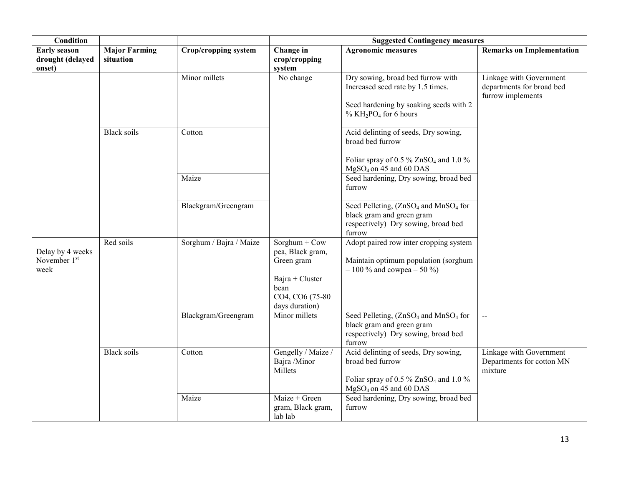| <b>Condition</b>                                     |                                   |                         | <b>Suggested Contingency measures</b>                                                                                |                                                                                                                                                                      |                                                                           |  |
|------------------------------------------------------|-----------------------------------|-------------------------|----------------------------------------------------------------------------------------------------------------------|----------------------------------------------------------------------------------------------------------------------------------------------------------------------|---------------------------------------------------------------------------|--|
| <b>Early season</b><br>drought (delayed<br>onset)    | <b>Major Farming</b><br>situation | Crop/cropping system    | Change in<br>crop/cropping<br>system                                                                                 | <b>Agronomic measures</b>                                                                                                                                            | <b>Remarks on Implementation</b>                                          |  |
|                                                      |                                   | Minor millets           | No change                                                                                                            | Dry sowing, broad bed furrow with<br>Increased seed rate by 1.5 times.<br>Seed hardening by soaking seeds with 2<br>$\%$ KH <sub>2</sub> PO <sub>4</sub> for 6 hours | Linkage with Government<br>departments for broad bed<br>furrow implements |  |
|                                                      | <b>Black soils</b>                | Cotton                  |                                                                                                                      | Acid delinting of seeds, Dry sowing,<br>broad bed furrow                                                                                                             |                                                                           |  |
|                                                      |                                   |                         |                                                                                                                      | Foliar spray of 0.5 % ZnSO <sub>4</sub> and 1.0 %<br>$MgSO_4$ on 45 and 60 DAS                                                                                       |                                                                           |  |
|                                                      |                                   | Maize                   |                                                                                                                      | Seed hardening, Dry sowing, broad bed<br>furrow                                                                                                                      |                                                                           |  |
|                                                      |                                   | Blackgram/Greengram     |                                                                                                                      | Seed Pelleting, (ZnSO <sub>4</sub> and MnSO <sub>4</sub> for<br>black gram and green gram<br>respectively) Dry sowing, broad bed<br>furrow                           |                                                                           |  |
| Delay by 4 weeks<br>November 1 <sup>st</sup><br>week | Red soils                         | Sorghum / Bajra / Maize | Sorghum + $Cow$<br>pea, Black gram,<br>Green gram<br>$Bajra + Cluster$<br>bean<br>CO4, CO6 (75-80)<br>days duration) | Adopt paired row inter cropping system<br>Maintain optimum population (sorghum<br>$-100\%$ and cowpea $-50\%$ )                                                      |                                                                           |  |
|                                                      |                                   | Blackgram/Greengram     | Minor millets                                                                                                        | Seed Pelleting, (ZnSO <sub>4</sub> and MnSO <sub>4</sub> for<br>black gram and green gram<br>respectively) Dry sowing, broad bed<br>furrow                           | $\mathcal{L}_{\mathcal{F}}$                                               |  |
|                                                      | <b>Black</b> soils                | Cotton                  | Gengelly / Maize /<br>Bajra /Minor<br>Millets                                                                        | Acid delinting of seeds, Dry sowing,<br>broad bed furrow<br>Foliar spray of 0.5 % ZnSO <sub>4</sub> and 1.0 %<br>$MgSO_4$ on 45 and 60 DAS                           | Linkage with Government<br>Departments for cotton MN<br>mixture           |  |
|                                                      |                                   | Maize                   | Maize + Green<br>gram, Black gram,<br>lab lab                                                                        | Seed hardening, Dry sowing, broad bed<br>furrow                                                                                                                      |                                                                           |  |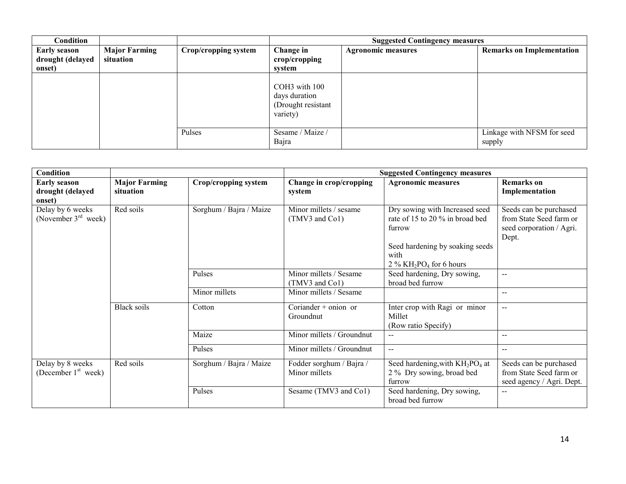| Condition                                         |                                   |                      | <b>Suggested Contingency measures</b>                            |                           |                                      |  |
|---------------------------------------------------|-----------------------------------|----------------------|------------------------------------------------------------------|---------------------------|--------------------------------------|--|
| <b>Early season</b><br>drought (delayed<br>onset) | <b>Major Farming</b><br>situation | Crop/cropping system | Change in<br>crop/cropping<br>svstem                             | <b>Agronomic measures</b> | <b>Remarks on Implementation</b>     |  |
|                                                   |                                   |                      | COH3 with 100<br>days duration<br>(Drought resistant<br>variety) |                           |                                      |  |
|                                                   |                                   | Pulses               | Sesame / Maize /<br>Bajra                                        |                           | Linkage with NFSM for seed<br>supply |  |

| Condition                                         |                                   |                         |                                           | <b>Suggested Contingency measures</b>                                                                                                                                       |                                                                                        |
|---------------------------------------------------|-----------------------------------|-------------------------|-------------------------------------------|-----------------------------------------------------------------------------------------------------------------------------------------------------------------------------|----------------------------------------------------------------------------------------|
| <b>Early season</b><br>drought (delayed<br>onset) | <b>Major Farming</b><br>situation | Crop/cropping system    | Change in crop/cropping<br>system         | <b>Agronomic measures</b>                                                                                                                                                   | Remarks on<br>Implementation                                                           |
| Delay by 6 weeks<br>(November $3rd$ week)         | Red soils                         | Sorghum / Bajra / Maize | Minor millets / sesame<br>(TMV3 and Co1)  | Dry sowing with Increased seed<br>rate of 15 to 20 % in broad bed<br>furrow<br>Seed hardening by soaking seeds<br>with<br>$2\%$ KH <sub>2</sub> PO <sub>4</sub> for 6 hours | Seeds can be purchased<br>from State Seed farm or<br>seed corporation / Agri.<br>Dept. |
|                                                   |                                   | Pulses                  | Minor millets / Sesame<br>(TMV3 and Co1)  | Seed hardening, Dry sowing,<br>broad bed furrow                                                                                                                             | $\overline{a}$                                                                         |
|                                                   |                                   | Minor millets           | Minor millets / Sesame                    |                                                                                                                                                                             | $\mathbf{u}$                                                                           |
|                                                   | <b>Black soils</b>                | Cotton                  | Coriander + onion or<br>Groundnut         | Inter crop with Ragi or minor<br>Millet<br>(Row ratio Specify)                                                                                                              | $\overline{\phantom{a}}$                                                               |
|                                                   |                                   | Maize                   | Minor millets / Groundnut                 | $\mathbf{u}$                                                                                                                                                                | $\sim$                                                                                 |
|                                                   |                                   | Pulses                  | Minor millets / Groundnut                 | $\sim$ $\sim$                                                                                                                                                               | $\sim$                                                                                 |
| Delay by 8 weeks<br>(December $1st$ week)         | Red soils                         | Sorghum / Bajra / Maize | Fodder sorghum / Bajra /<br>Minor millets | Seed hardening, with $KH_2PO_4$ at<br>2 % Dry sowing, broad bed<br>furrow                                                                                                   | Seeds can be purchased<br>from State Seed farm or<br>seed agency / Agri. Dept.         |
|                                                   |                                   | Pulses                  | Sesame (TMV3 and Co1)                     | Seed hardening, Dry sowing,<br>broad bed furrow                                                                                                                             | $\sim$ $\sim$                                                                          |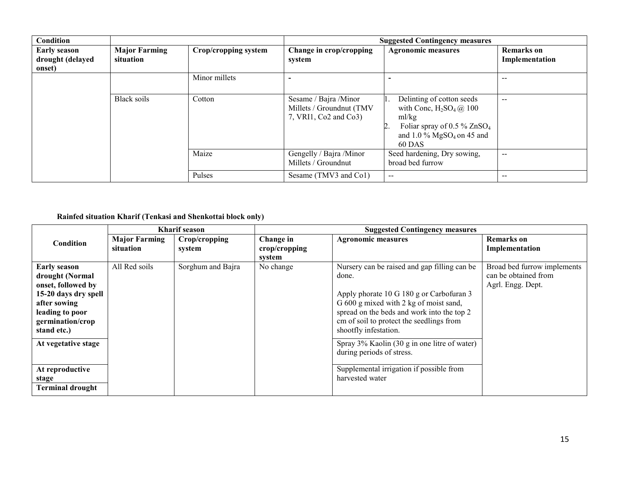| Condition                                         |                                   |                      | <b>Suggested Contingency measures</b>                                       |                                                                                                                                                                   |                                     |
|---------------------------------------------------|-----------------------------------|----------------------|-----------------------------------------------------------------------------|-------------------------------------------------------------------------------------------------------------------------------------------------------------------|-------------------------------------|
| <b>Early season</b><br>drought (delayed<br>onset) | <b>Major Farming</b><br>situation | Crop/cropping system | Change in crop/cropping<br>system                                           | <b>Agronomic measures</b>                                                                                                                                         | <b>Remarks</b> on<br>Implementation |
|                                                   |                                   | Minor millets        |                                                                             |                                                                                                                                                                   | $- -$                               |
|                                                   | Black soils                       | Cotton               | Sesame / Bajra / Minor<br>Millets / Groundnut (TMV<br>7, VRI1, Co2 and Co3) | Delinting of cotton seeds<br>with Conc, $H_2SO_4(\mathcal{Q})$ 100<br>ml/kg<br>Foliar spray of 0.5 % $ZnSO4$<br>and $1.0\%$ MgSO <sub>4</sub> on 45 and<br>60 DAS | $- -$                               |
|                                                   |                                   | Maize                | Gengelly / Bajra /Minor<br>Millets / Groundnut                              | Seed hardening, Dry sowing,<br>broad bed furrow                                                                                                                   | $- -$                               |
|                                                   |                                   | Pulses               | Sesame (TMV3 and Co1)                                                       | $\overline{\phantom{m}}$                                                                                                                                          | $- -$                               |

#### Rainfed situation Kharif (Tenkasi and Shenkottai block only)

|                         | <b>Kharif</b> season |                   |               | <b>Suggested Contingency measures</b>        |                             |  |
|-------------------------|----------------------|-------------------|---------------|----------------------------------------------|-----------------------------|--|
| <b>Condition</b>        | <b>Major Farming</b> | Crop/cropping     | Change in     | <b>Agronomic measures</b>                    | Remarks on                  |  |
|                         | situation            | system            | crop/cropping |                                              | Implementation              |  |
|                         |                      |                   | system        |                                              |                             |  |
| <b>Early season</b>     | All Red soils        | Sorghum and Bajra | No change     | Nursery can be raised and gap filling can be | Broad bed furrow implements |  |
| drought (Normal         |                      |                   |               | done.                                        | can be obtained from        |  |
| onset, followed by      |                      |                   |               |                                              | Agrl. Engg. Dept.           |  |
| 15-20 days dry spell    |                      |                   |               | Apply phorate 10 G 180 g or Carbofuran 3     |                             |  |
| after sowing            |                      |                   |               | G 600 g mixed with 2 kg of moist sand,       |                             |  |
| leading to poor         |                      |                   |               | spread on the beds and work into the top 2   |                             |  |
| germination/crop        |                      |                   |               | cm of soil to protect the seedlings from     |                             |  |
| stand etc.)             |                      |                   |               | shootfly infestation.                        |                             |  |
| At vegetative stage     |                      |                   |               | Spray 3% Kaolin (30 g in one litre of water) |                             |  |
|                         |                      |                   |               | during periods of stress.                    |                             |  |
|                         |                      |                   |               |                                              |                             |  |
| At reproductive         |                      |                   |               | Supplemental irrigation if possible from     |                             |  |
| stage                   |                      |                   |               | harvested water                              |                             |  |
| <b>Terminal drought</b> |                      |                   |               |                                              |                             |  |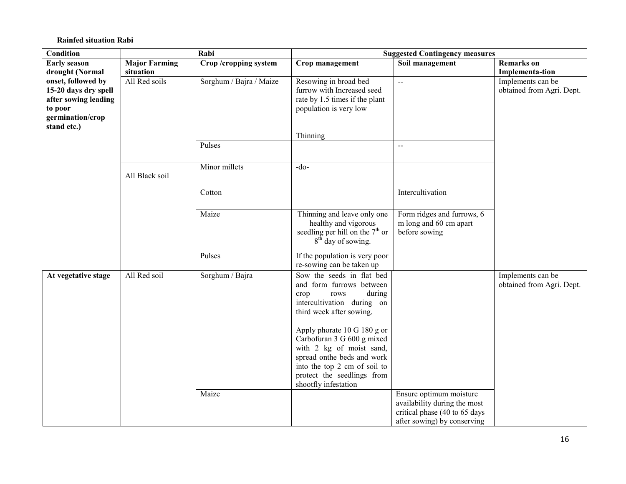#### Rainfed situation Rabi

| <b>Condition</b>                                                                                                 |                      | Rabi                    | <b>Suggested Contingency measures</b>                                                                                                                                                                                                                                                                                                                  |                                                                                                                         |                                                |
|------------------------------------------------------------------------------------------------------------------|----------------------|-------------------------|--------------------------------------------------------------------------------------------------------------------------------------------------------------------------------------------------------------------------------------------------------------------------------------------------------------------------------------------------------|-------------------------------------------------------------------------------------------------------------------------|------------------------------------------------|
| <b>Early season</b>                                                                                              | <b>Major Farming</b> | Crop/cropping system    | Crop management                                                                                                                                                                                                                                                                                                                                        | Soil management                                                                                                         | <b>Remarks</b> on                              |
| drought (Normal<br>situation                                                                                     |                      |                         | Implementa-tion                                                                                                                                                                                                                                                                                                                                        |                                                                                                                         |                                                |
| onset, followed by<br>15-20 days dry spell<br>after sowing leading<br>to poor<br>germination/crop<br>stand etc.) | All Red soils        | Sorghum / Bajra / Maize | Resowing in broad bed<br>furrow with Increased seed<br>rate by 1.5 times if the plant<br>population is very low<br>Thinning                                                                                                                                                                                                                            | $\sim$                                                                                                                  | Implements can be<br>obtained from Agri. Dept. |
|                                                                                                                  |                      | Pulses                  |                                                                                                                                                                                                                                                                                                                                                        | $\sim$ $\sim$                                                                                                           |                                                |
|                                                                                                                  |                      |                         |                                                                                                                                                                                                                                                                                                                                                        |                                                                                                                         |                                                |
|                                                                                                                  | All Black soil       | Minor millets           | $-do-$                                                                                                                                                                                                                                                                                                                                                 |                                                                                                                         |                                                |
|                                                                                                                  |                      | Cotton                  |                                                                                                                                                                                                                                                                                                                                                        | Intercultivation                                                                                                        |                                                |
|                                                                                                                  |                      | Maize                   | Thinning and leave only one<br>healthy and vigorous<br>seedling per hill on the $7th$ or<br>8 <sup>th</sup> day of sowing.                                                                                                                                                                                                                             | Form ridges and furrows, 6<br>m long and 60 cm apart<br>before sowing                                                   |                                                |
|                                                                                                                  |                      | Pulses                  | If the population is very poor<br>re-sowing can be taken up                                                                                                                                                                                                                                                                                            |                                                                                                                         |                                                |
| At vegetative stage                                                                                              | All Red soil         | Sorghum / Bajra         | Sow the seeds in flat bed<br>and form furrows between<br>during<br>crop<br>rows<br>intercultivation during on<br>third week after sowing.<br>Apply phorate 10 G 180 g or<br>Carbofuran 3 G 600 g mixed<br>with 2 kg of moist sand,<br>spread onthe beds and work<br>into the top 2 cm of soil to<br>protect the seedlings from<br>shootfly infestation |                                                                                                                         | Implements can be<br>obtained from Agri. Dept. |
|                                                                                                                  |                      | Maize                   |                                                                                                                                                                                                                                                                                                                                                        | Ensure optimum moisture<br>availability during the most<br>critical phase (40 to 65 days<br>after sowing) by conserving |                                                |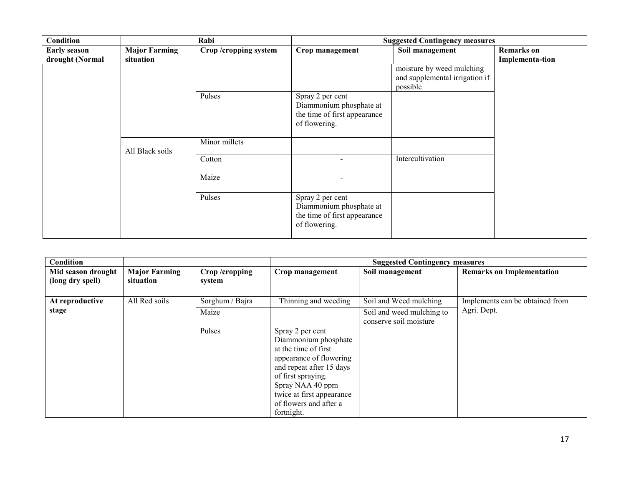| Condition           |                      | Rabi                 |                                                                                              | <b>Suggested Contingency measures</b>      |                   |
|---------------------|----------------------|----------------------|----------------------------------------------------------------------------------------------|--------------------------------------------|-------------------|
| <b>Early season</b> | <b>Major Farming</b> | Crop/cropping system | Crop management                                                                              | Soil management                            | <b>Remarks</b> on |
| drought (Normal     | situation            |                      |                                                                                              |                                            | Implementa-tion   |
|                     |                      |                      |                                                                                              | moisture by weed mulching                  |                   |
|                     |                      |                      |                                                                                              | and supplemental irrigation if<br>possible |                   |
|                     |                      | Pulses               | Spray 2 per cent<br>Diammonium phosphate at<br>the time of first appearance<br>of flowering. |                                            |                   |
|                     | All Black soils      | Minor millets        |                                                                                              |                                            |                   |
|                     |                      | Cotton               |                                                                                              | Intercultivation                           |                   |
|                     |                      | Maize                | $\overline{\phantom{a}}$                                                                     |                                            |                   |
|                     |                      | Pulses               | Spray 2 per cent<br>Diammonium phosphate at<br>the time of first appearance<br>of flowering. |                                            |                   |

| Condition          |                      |                 |                           | <b>Suggested Contingency measures</b> |                                  |
|--------------------|----------------------|-----------------|---------------------------|---------------------------------------|----------------------------------|
| Mid season drought | <b>Major Farming</b> | Crop/cropping   | Crop management           | Soil management                       | <b>Remarks on Implementation</b> |
| (long dry spell)   | situation            | system          |                           |                                       |                                  |
|                    |                      |                 |                           |                                       |                                  |
| At reproductive    | All Red soils        | Sorghum / Bajra | Thinning and weeding      | Soil and Weed mulching                | Implements can be obtained from  |
| stage              |                      | Maize           |                           | Soil and weed mulching to             | Agri. Dept.                      |
|                    |                      |                 |                           | conserve soil moisture                |                                  |
|                    |                      | Pulses          | Spray 2 per cent          |                                       |                                  |
|                    |                      |                 | Diammonium phosphate      |                                       |                                  |
|                    |                      |                 | at the time of first      |                                       |                                  |
|                    |                      |                 | appearance of flowering   |                                       |                                  |
|                    |                      |                 | and repeat after 15 days  |                                       |                                  |
|                    |                      |                 | of first spraying.        |                                       |                                  |
|                    |                      |                 | Spray NAA 40 ppm          |                                       |                                  |
|                    |                      |                 | twice at first appearance |                                       |                                  |
|                    |                      |                 | of flowers and after a    |                                       |                                  |
|                    |                      |                 | fortnight.                |                                       |                                  |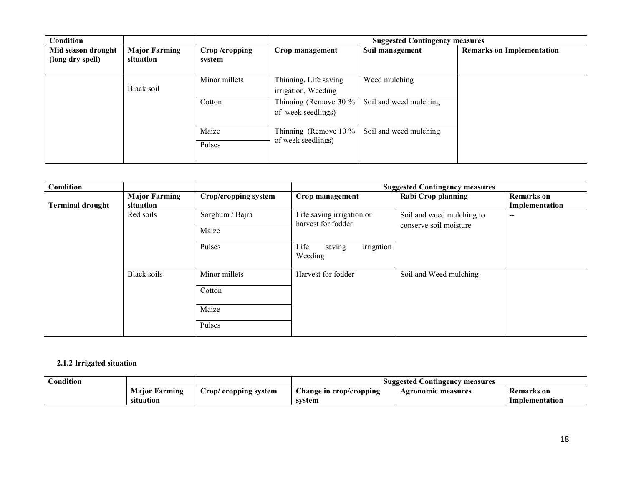| Condition                              |                                   |                         |                                              | <b>Suggested Contingency measures</b> |                                  |
|----------------------------------------|-----------------------------------|-------------------------|----------------------------------------------|---------------------------------------|----------------------------------|
| Mid season drought<br>(long dry spell) | <b>Major Farming</b><br>situation | Crop/cropping<br>system | Crop management                              | Soil management                       | <b>Remarks on Implementation</b> |
|                                        | Black soil                        | Minor millets           | Thinning, Life saving<br>irrigation, Weeding | Weed mulching                         |                                  |
|                                        |                                   | Cotton                  | Thinning (Remove 30 %<br>of week seedlings)  | Soil and weed mulching                |                                  |
|                                        |                                   | Maize<br>Pulses         | Thinning (Remove 10 %<br>of week seedlings)  | Soil and weed mulching                |                                  |

| Condition               |                                   |                                            |                                                 | <b>Suggested Contingency measures</b>               |                                     |
|-------------------------|-----------------------------------|--------------------------------------------|-------------------------------------------------|-----------------------------------------------------|-------------------------------------|
| <b>Terminal drought</b> | <b>Major Farming</b><br>situation | Crop/cropping system                       | Crop management                                 | <b>Rabi Crop planning</b>                           | <b>Remarks</b> on<br>Implementation |
|                         | Red soils                         | Sorghum / Bajra<br>Maize                   | Life saving irrigation or<br>harvest for fodder | Soil and weed mulching to<br>conserve soil moisture | $\sim$ $\sim$                       |
|                         |                                   | Pulses                                     | irrigation<br>saving<br>Life<br>Weeding         |                                                     |                                     |
|                         | Black soils                       | Minor millets<br>Cotton<br>Maize<br>Pulses | Harvest for fodder                              | Soil and Weed mulching                              |                                     |

## 2.1.2 Irrigated situation

| $\cdots$<br><b>Ondition</b> |                  |                                |                        | Contingency<br>Suggested<br>measures |                   |
|-----------------------------|------------------|--------------------------------|------------------------|--------------------------------------|-------------------|
|                             | Maior<br>Farming | cropping system<br>$\cup$ rop/ | hange in crop/cropping | Agronomic measures                   | <b>Remarks</b> on |
|                             | situation        |                                | svstem                 |                                      | Implementation    |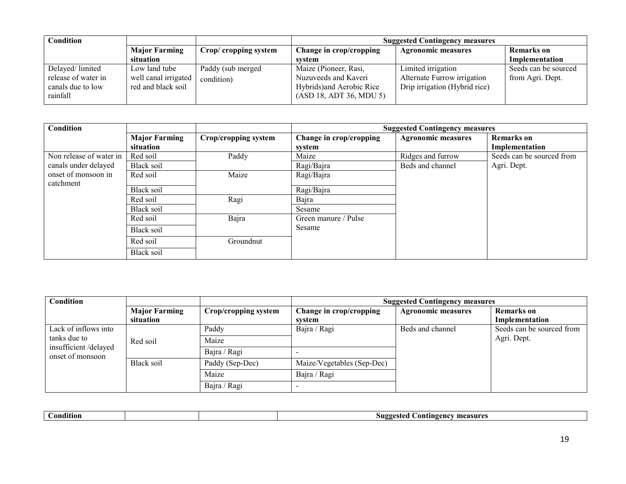| Condition                     |                      |                       |                                                      | <b>Suggested Contingency measures</b> |                      |
|-------------------------------|----------------------|-----------------------|------------------------------------------------------|---------------------------------------|----------------------|
|                               | <b>Major Farming</b> | Crop/ cropping system | Change in crop/cropping                              | <b>Agronomic measures</b>             | Remarks on           |
|                               | situation            |                       | system                                               |                                       | Implementation       |
| Delayed/limited               | Low land tube        | Paddy (sub merged     | Maize (Pioneer, Rasi,                                | Limited irrigation                    | Seeds can be sourced |
| release of water in           | well canal irrigated | condition)            | Nuzuveeds and Kaveri                                 | Alternate Furrow irrigation           | from Agri. Dept.     |
| canals due to low<br>rainfall | red and black soil   |                       | Hybrids) and Aerobic Rice<br>(ASD 18, ADT 36, MDU 5) | Drip irrigation (Hybrid rice)         |                      |
|                               |                      |                       |                                                      |                                       |                      |

| <b>Condition</b>        |                      |                      |                         | <b>Suggested Contingency measures</b> |                           |
|-------------------------|----------------------|----------------------|-------------------------|---------------------------------------|---------------------------|
|                         | <b>Major Farming</b> | Crop/cropping system | Change in crop/cropping | <b>Agronomic measures</b>             | <b>Remarks</b> on         |
|                         | situation            |                      | system                  |                                       | Implementation            |
| Non release of water in | Red soil             | Paddy                | Maize                   | Ridges and furrow                     | Seeds can be sourced from |
| canals under delayed    | Black soil           |                      | Ragi/Bajra              | Beds and channel                      | Agri. Dept.               |
| onset of monsoon in     | Red soil             | Maize                | Ragi/Bajra              |                                       |                           |
| catchment               |                      |                      |                         |                                       |                           |
|                         | Black soil           |                      | Ragi/Bajra              |                                       |                           |
|                         | Red soil             | Ragi                 | Bajra                   |                                       |                           |
|                         | Black soil           |                      | Sesame                  |                                       |                           |
|                         | Red soil             | Bajra                | Green manure / Pulse    |                                       |                           |
|                         | Black soil           |                      | Sesame                  |                                       |                           |
|                         | Red soil             | Groundnut            |                         |                                       |                           |
|                         | Black soil           |                      |                         |                                       |                           |

| Condition                                                |                      |                      |                            | <b>Suggested Contingency measures</b> |                           |
|----------------------------------------------------------|----------------------|----------------------|----------------------------|---------------------------------------|---------------------------|
|                                                          | <b>Major Farming</b> | Crop/cropping system | Change in crop/cropping    | <b>Agronomic measures</b>             | <b>Remarks</b> on         |
|                                                          | situation            |                      | system                     |                                       | Implementation            |
| Lack of inflows into                                     |                      | Paddy                | Bajra / Ragi               | Beds and channel                      | Seeds can be sourced from |
| tanks due to<br>insufficient/delayed<br>onset of monsoon | Red soil             | Maize                |                            |                                       | Agri. Dept.               |
|                                                          |                      | Bajra / Ragi         |                            |                                       |                           |
|                                                          | Black soil           | Paddy (Sep-Dec)      | Maize/Vegetables (Sep-Dec) |                                       |                           |
|                                                          |                      | Maize                | Bajra / Ragi               |                                       |                           |
|                                                          |                      | Bajra / Ragi         |                            |                                       |                           |

| `onditior.<br>measures<br>'STe<br>Contingency<br>$\mathbf{M}$ |
|---------------------------------------------------------------|
|---------------------------------------------------------------|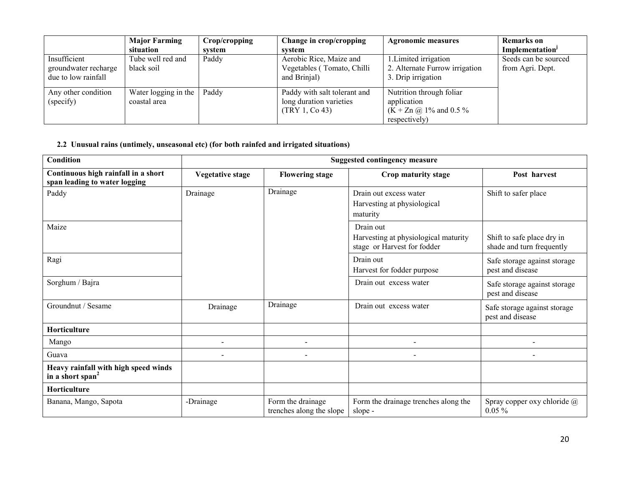|                                                             | <b>Major Farming</b><br>situation    | Crop/cropping<br>system | Change in crop/cropping<br>svstem                                         | <b>Agronomic measures</b>                                                                 | <b>Remarks</b> on<br>Implementation <sup>J</sup> |
|-------------------------------------------------------------|--------------------------------------|-------------------------|---------------------------------------------------------------------------|-------------------------------------------------------------------------------------------|--------------------------------------------------|
| Insufficient<br>groundwater recharge<br>due to low rainfall | Tube well red and<br>black soil      | Paddy                   | Aerobic Rice, Maize and<br>Vegetables (Tomato, Chilli<br>and Brinjal)     | 1. Limited irrigation<br>2. Alternate Furrow irrigation<br>3. Drip irrigation             | Seeds can be sourced<br>from Agri. Dept.         |
| Any other condition<br>(specify)                            | Water logging in the<br>coastal area | Paddy                   | Paddy with salt tolerant and<br>long duration varieties<br>(TRY 1, Co 43) | Nutrition through foliar<br>application<br>$(K + Zn \omega)$ 1% and 0.5%<br>respectively) |                                                  |

## 2.2 Unusual rains (untimely, unseasonal etc) (for both rainfed and irrigated situations)

| Condition                                                            | <b>Suggested contingency measure</b> |                                               |                                                                                  |                                                         |  |
|----------------------------------------------------------------------|--------------------------------------|-----------------------------------------------|----------------------------------------------------------------------------------|---------------------------------------------------------|--|
| Continuous high rainfall in a short<br>span leading to water logging | <b>Vegetative stage</b>              | <b>Flowering stage</b>                        | Crop maturity stage                                                              | Post harvest                                            |  |
| Paddy                                                                | Drainage                             | Drainage                                      | Drain out excess water<br>Harvesting at physiological<br>maturity                | Shift to safer place                                    |  |
| Maize                                                                |                                      |                                               | Drain out<br>Harvesting at physiological maturity<br>stage or Harvest for fodder | Shift to safe place dry in<br>shade and turn frequently |  |
| Ragi                                                                 |                                      |                                               | Drain out<br>Harvest for fodder purpose                                          | Safe storage against storage<br>pest and disease        |  |
| Sorghum / Bajra                                                      |                                      |                                               | Drain out excess water                                                           | Safe storage against storage<br>pest and disease        |  |
| Groundnut / Sesame                                                   | Drainage                             | Drainage                                      | Drain out excess water                                                           | Safe storage against storage<br>pest and disease        |  |
| <b>Horticulture</b>                                                  |                                      |                                               |                                                                                  |                                                         |  |
| Mango                                                                |                                      | ۰                                             |                                                                                  |                                                         |  |
| Guava                                                                |                                      | $\overline{\phantom{a}}$                      |                                                                                  |                                                         |  |
| Heavy rainfall with high speed winds<br>in a short span <sup>2</sup> |                                      |                                               |                                                                                  |                                                         |  |
| Horticulture                                                         |                                      |                                               |                                                                                  |                                                         |  |
| Banana, Mango, Sapota                                                | -Drainage                            | Form the drainage<br>trenches along the slope | Form the drainage trenches along the<br>slope -                                  | Spray copper oxy chloride $\omega$<br>$0.05\%$          |  |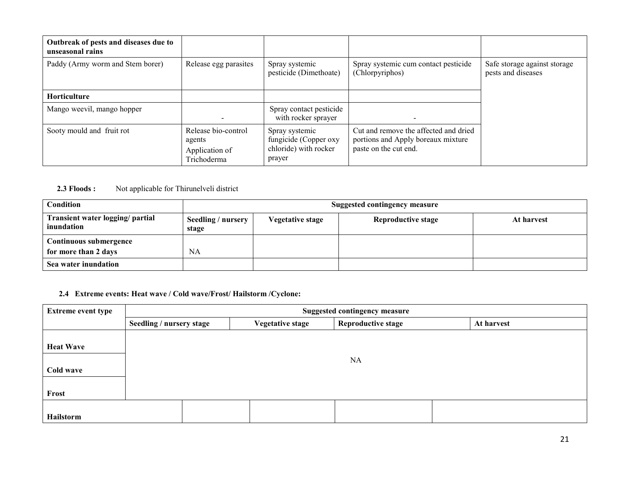| Outbreak of pests and diseases due to<br>unseasonal rains |                                                                |                                                                            |                                                                                                      |                                                    |
|-----------------------------------------------------------|----------------------------------------------------------------|----------------------------------------------------------------------------|------------------------------------------------------------------------------------------------------|----------------------------------------------------|
| Paddy (Army worm and Stem borer)                          | Release egg parasites                                          | Spray systemic<br>pesticide (Dimethoate)                                   | Spray systemic cum contact pesticide<br>(Chlorpyriphos)                                              | Safe storage against storage<br>pests and diseases |
| Horticulture                                              |                                                                |                                                                            |                                                                                                      |                                                    |
| Mango weevil, mango hopper                                |                                                                | Spray contact pesticide<br>with rocker sprayer                             |                                                                                                      |                                                    |
| Sooty mould and fruit rot                                 | Release bio-control<br>agents<br>Application of<br>Trichoderma | Spray systemic<br>fungicide (Copper oxy<br>chloride) with rocker<br>prayer | Cut and remove the affected and dried<br>portions and Apply boreaux mixture<br>paste on the cut end. |                                                    |

## **2.3 Floods :** Not applicable for Thirunelveli district

| <b>Condition</b>                               |                             | Suggested contingency measure |                           |            |  |  |
|------------------------------------------------|-----------------------------|-------------------------------|---------------------------|------------|--|--|
| Transient water logging/ partial<br>inundation | Seedling / nursery<br>stage | <b>Vegetative stage</b>       | <b>Reproductive stage</b> | At harvest |  |  |
| Continuous submergence                         |                             |                               |                           |            |  |  |
| for more than 2 days                           | <b>NA</b>                   |                               |                           |            |  |  |
| Sea water inundation                           |                             |                               |                           |            |  |  |

## 2.4 Extreme events: Heat wave / Cold wave/Frost/ Hailstorm /Cyclone:

| <b>Extreme event type</b>     | <b>Suggested contingency measure</b> |                         |                           |            |  |  |  |
|-------------------------------|--------------------------------------|-------------------------|---------------------------|------------|--|--|--|
|                               | Seedling / nursery stage             | <b>Vegetative stage</b> | <b>Reproductive stage</b> | At harvest |  |  |  |
| <b>Heat Wave</b><br>Cold wave |                                      |                         | <b>NA</b>                 |            |  |  |  |
| Frost                         |                                      |                         |                           |            |  |  |  |
| Hailstorm                     |                                      |                         |                           |            |  |  |  |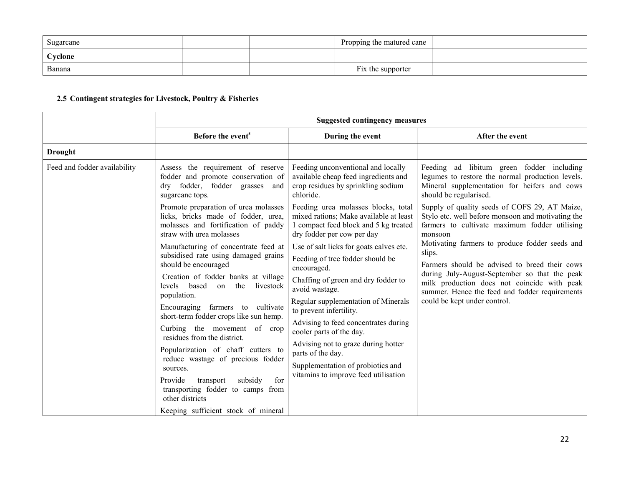| Sugarcane |  | Propping the matured cane |  |
|-----------|--|---------------------------|--|
| Cyclone   |  |                           |  |
| Banana    |  | Fix the supporter         |  |

## 2.5 Contingent strategies for Livestock, Poultry & Fisheries

|                                                                    | <b>Suggested contingency measures</b>                                                                                                                                                 |                                                                                                                                                                                                                                                                    |                                                                                                                                                                         |  |  |
|--------------------------------------------------------------------|---------------------------------------------------------------------------------------------------------------------------------------------------------------------------------------|--------------------------------------------------------------------------------------------------------------------------------------------------------------------------------------------------------------------------------------------------------------------|-------------------------------------------------------------------------------------------------------------------------------------------------------------------------|--|--|
|                                                                    | Before the event <sup>s</sup>                                                                                                                                                         | During the event                                                                                                                                                                                                                                                   | After the event                                                                                                                                                         |  |  |
| <b>Drought</b>                                                     |                                                                                                                                                                                       |                                                                                                                                                                                                                                                                    |                                                                                                                                                                         |  |  |
| Feed and fodder availability                                       | Assess the requirement of reserve<br>fodder and promote conservation of<br>fodder, fodder grasses and<br>$\rm{d}$ rv<br>sugarcane tops.                                               | Feeding unconventional and locally<br>available cheap feed ingredients and<br>crop residues by sprinkling sodium<br>chloride.                                                                                                                                      | Feeding ad libitum green fodder including<br>legumes to restore the normal production levels.<br>Mineral supplementation for heifers and cows<br>should be regularised. |  |  |
|                                                                    | Promote preparation of urea molasses<br>licks, bricks made of fodder, urea,<br>molasses and fortification of paddy<br>straw with urea molasses                                        | Feeding urea molasses blocks, total<br>mixed rations; Make available at least<br>1 compact feed block and 5 kg treated<br>dry fodder per cow per day                                                                                                               | Supply of quality seeds of COFS 29, AT Maize,<br>Stylo etc. well before monsoon and motivating the<br>farmers to cultivate maximum fodder utilising<br>monsoon          |  |  |
| should be encouraged<br>based<br>levels<br>$\alpha$<br>population. | Manufacturing of concentrate feed at<br>subsidised rate using damaged grains                                                                                                          | Use of salt licks for goats calves etc.<br>Feeding of tree fodder should be<br>encouraged.                                                                                                                                                                         | Motivating farmers to produce fodder seeds and<br>slips.<br>Farmers should be advised to breed their cows<br>during July-August-September so that the peak              |  |  |
|                                                                    | Creation of fodder banks at village<br>the<br>livestock<br>Encouraging farmers to cultivate                                                                                           | Chaffing of green and dry fodder to<br>avoid wastage.<br>could be kept under control.<br>Regular supplementation of Minerals<br>to prevent infertility.<br>Advising to feed concentrates during<br>cooler parts of the day.<br>Advising not to graze during hotter | milk production does not coincide with peak<br>summer. Hence the feed and fodder requirements                                                                           |  |  |
|                                                                    | short-term fodder crops like sun hemp.<br>Curbing the movement of crop<br>residues from the district.                                                                                 |                                                                                                                                                                                                                                                                    |                                                                                                                                                                         |  |  |
|                                                                    | Popularization of chaff cutters to<br>reduce wastage of precious fodder<br>sources.<br>subsidy<br>for<br>Provide<br>transport<br>transporting fodder to camps from<br>other districts | parts of the day.<br>Supplementation of probiotics and<br>vitamins to improve feed utilisation                                                                                                                                                                     |                                                                                                                                                                         |  |  |
|                                                                    | Keeping sufficient stock of mineral                                                                                                                                                   |                                                                                                                                                                                                                                                                    |                                                                                                                                                                         |  |  |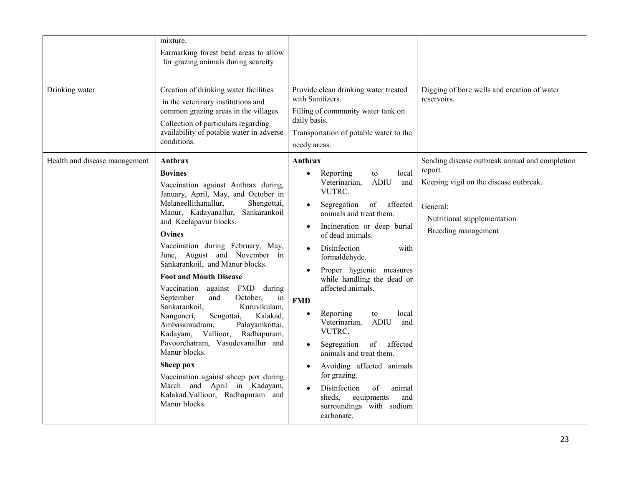| Drinking water                | mixture.<br>Earmarking forest bead areas to allow<br>for grazing animals during scarcity<br>Creation of drinking water facilities<br>in the veterinary institutions and<br>common grazing areas in the villages<br>Collection of particulars regarding<br>availability of potable water in adverse<br>conditions.                                                                                                                                                                                                                                                                                                                                                                                                                                                                                   | Provide clean drinking water treated<br>with Sanitizers.<br>Filling of community water tank on<br>daily basis.<br>Transportation of potable water to the<br>needy areas.                                                                                                                                                                                                                                                                                                                                                                                                                                                                                                                                                                      | Digging of bore wells and creation of water<br>reservoirs.                                                                                                            |
|-------------------------------|-----------------------------------------------------------------------------------------------------------------------------------------------------------------------------------------------------------------------------------------------------------------------------------------------------------------------------------------------------------------------------------------------------------------------------------------------------------------------------------------------------------------------------------------------------------------------------------------------------------------------------------------------------------------------------------------------------------------------------------------------------------------------------------------------------|-----------------------------------------------------------------------------------------------------------------------------------------------------------------------------------------------------------------------------------------------------------------------------------------------------------------------------------------------------------------------------------------------------------------------------------------------------------------------------------------------------------------------------------------------------------------------------------------------------------------------------------------------------------------------------------------------------------------------------------------------|-----------------------------------------------------------------------------------------------------------------------------------------------------------------------|
| Health and disease management | Anthrax<br><b>Bovines</b><br>Vaccination against Anthrax during,<br>January, April, May, and October in<br>Melaneellithanallur,<br>Shengottai,<br>Sankarankoil<br>Manur, Kadayanallur,<br>and Keelapavur blocks.<br><b>Ovines</b><br>Vaccination during February, May,<br>June, August and November in<br>Sankarankoil, and Manur blocks.<br><b>Foot and Mouth Disease</b><br>Vaccination against FMD during<br>September<br>and<br>October,<br>in<br>Sankarankoil,<br>Kuruvikulam,<br>Kalakad,<br>Nanguneri,<br>Sengottai,<br>Ambasamudram,<br>Palayamkottai,<br>Kadayam,<br>Vallioor, Radhapuram,<br>Pavoorchatram, Vasudevanallur and<br>Manur blocks.<br>Sheep pox<br>Vaccination against sheep pox during<br>March and April in Kadayam,<br>Kalakad, Vallioor, Radhapuram and<br>Manur blocks. | Anthrax<br>local<br>Reporting<br>to<br>$\bullet$<br>Veterinarian,<br><b>ADIU</b><br>and<br>VUTRC.<br>of affected<br>Segregation<br>$\bullet$<br>animals and treat them.<br>Incineration or deep burial<br>$\bullet$<br>of dead animals.<br>Disinfection<br>with<br>$\bullet$<br>formaldehyde.<br>Proper hygienic measures<br>while handling the dead or<br>affected animals.<br><b>FMD</b><br>Reporting<br>local<br>$\bullet$<br>to<br>Veterinarian,<br><b>ADIU</b><br>and<br>VUTRC.<br>of<br>affected<br>Segregation<br>$\bullet$<br>animals and treat them.<br>Avoiding affected animals<br>$\bullet$<br>for grazing.<br>Disinfection<br>of<br>animal<br>$\bullet$<br>equipments<br>sheds.<br>and<br>surroundings with sodium<br>carbonate. | Sending disease outbreak annual and completion<br>report.<br>Keeping vigil on the disease outbreak.<br>General:<br>Nutritional supplementation<br>Breeding management |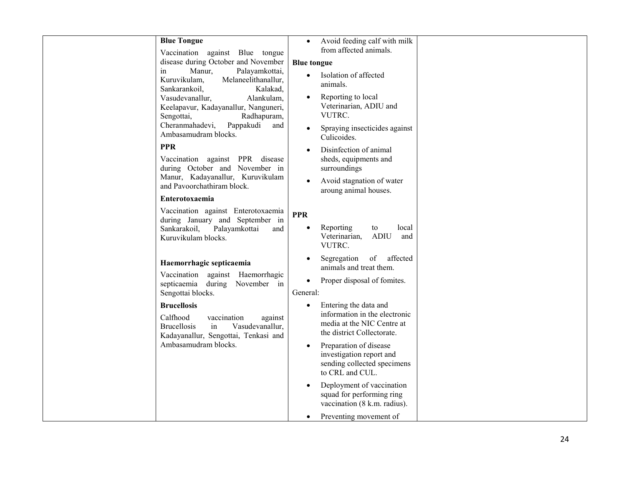| <b>Blue Tongue</b>                                                                                                                              | $\bullet$             | Avoid feeding calf with milk                                                                                       |  |
|-------------------------------------------------------------------------------------------------------------------------------------------------|-----------------------|--------------------------------------------------------------------------------------------------------------------|--|
| Vaccination against Blue tongue<br>disease during October and November                                                                          |                       | from affected animals.                                                                                             |  |
| Manur,<br>Palayamkottai,<br>in                                                                                                                  | <b>Blue</b> tongue    |                                                                                                                    |  |
| Kuruvikulam,<br>Melaneelithanallur,<br>Sankarankoil,<br>Kalakad,                                                                                | $\bullet$             | Isolation of affected<br>animals.                                                                                  |  |
| Vasudevanallur,<br>Alankulam,<br>Keelapavur, Kadayanallur, Nanguneri,<br>Radhapuram,<br>Sengottai,                                              |                       | Reporting to local<br>Veterinarian, ADIU and<br>VUTRC.                                                             |  |
| Cheranmahadevi,<br>Pappakudi<br>and<br>Ambasamudram blocks.                                                                                     |                       | Spraying insecticides against<br>Culicoides.                                                                       |  |
| <b>PPR</b><br>Vaccination against PPR disease<br>during October and November in                                                                 |                       | Disinfection of animal<br>sheds, equipments and                                                                    |  |
| Manur, Kadayanallur, Kuruvikulam<br>and Pavoorchathiram block.                                                                                  |                       | surroundings<br>Avoid stagnation of water<br>aroung animal houses.                                                 |  |
| Enterotoxaemia                                                                                                                                  |                       |                                                                                                                    |  |
| Vaccination against Enterotoxaemia<br>during January and September in<br>Sankarakoil,<br>Palayamkottai<br>and<br>Kuruvikulam blocks.            | <b>PPR</b>            | Reporting<br>to<br>local<br>Veterinarian,<br><b>ADIU</b><br>and<br>VUTRC.                                          |  |
| Haemorrhagic septicaemia                                                                                                                        |                       | affected<br>Segregation<br>of<br>animals and treat them.                                                           |  |
| Vaccination against Haemorrhagic<br>septicaemia during November in<br>Sengottai blocks.                                                         | $\bullet$<br>General: | Proper disposal of fomites.                                                                                        |  |
| <b>Brucellosis</b><br>Calfhood<br>vaccination<br>against<br><b>Brucellosis</b><br>Vasudevanallur,<br>in<br>Kadayanallur, Sengottai, Tenkasi and |                       | Entering the data and<br>information in the electronic<br>media at the NIC Centre at<br>the district Collectorate. |  |
| Ambasamudram blocks.                                                                                                                            | $\bullet$             | Preparation of disease<br>investigation report and<br>sending collected specimens<br>to CRL and CUL.               |  |
|                                                                                                                                                 |                       | Deployment of vaccination<br>squad for performing ring<br>vaccination (8 k.m. radius).                             |  |
|                                                                                                                                                 |                       | Preventing movement of                                                                                             |  |
|                                                                                                                                                 |                       |                                                                                                                    |  |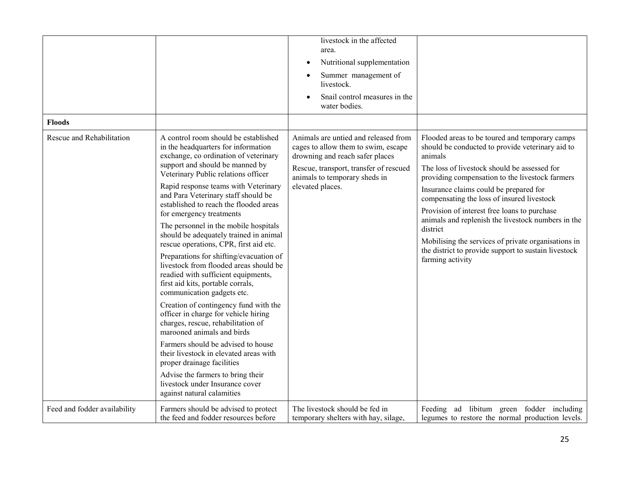|                              |                                                                                                                                                                                             | livestock in the affected<br>area.                                                                                                                       |                                                                                                                                                               |
|------------------------------|---------------------------------------------------------------------------------------------------------------------------------------------------------------------------------------------|----------------------------------------------------------------------------------------------------------------------------------------------------------|---------------------------------------------------------------------------------------------------------------------------------------------------------------|
|                              |                                                                                                                                                                                             | Nutritional supplementation<br>$\bullet$                                                                                                                 |                                                                                                                                                               |
|                              |                                                                                                                                                                                             | Summer management of<br>livestock.                                                                                                                       |                                                                                                                                                               |
|                              |                                                                                                                                                                                             | Snail control measures in the<br>water bodies.                                                                                                           |                                                                                                                                                               |
| <b>Floods</b>                |                                                                                                                                                                                             |                                                                                                                                                          |                                                                                                                                                               |
| Rescue and Rehabilitation    | A control room should be established<br>in the headquarters for information<br>exchange, co ordination of veterinary<br>support and should be manned by                                     | Animals are untied and released from<br>cages to allow them to swim, escape<br>drowning and reach safer places<br>Rescue, transport, transfer of rescued | Flooded areas to be toured and temporary camps<br>should be conducted to provide veterinary aid to<br>animals<br>The loss of livestock should be assessed for |
|                              | Veterinary Public relations officer<br>Rapid response teams with Veterinary                                                                                                                 | animals to temporary sheds in<br>elevated places.                                                                                                        | providing compensation to the livestock farmers                                                                                                               |
|                              | and Para Veterinary staff should be                                                                                                                                                         |                                                                                                                                                          | Insurance claims could be prepared for<br>compensating the loss of insured livestock                                                                          |
|                              | established to reach the flooded areas<br>for emergency treatments                                                                                                                          |                                                                                                                                                          | Provision of interest free loans to purchase                                                                                                                  |
|                              | The personnel in the mobile hospitals<br>should be adequately trained in animal                                                                                                             |                                                                                                                                                          | animals and replenish the livestock numbers in the<br>district                                                                                                |
|                              | rescue operations, CPR, first aid etc.                                                                                                                                                      |                                                                                                                                                          | Mobilising the services of private organisations in<br>the district to provide support to sustain livestock                                                   |
|                              | Preparations for shifting/evacuation of<br>livestock from flooded areas should be<br>readied with sufficient equipments,<br>first aid kits, portable corrals,<br>communication gadgets etc. |                                                                                                                                                          | farming activity                                                                                                                                              |
|                              | Creation of contingency fund with the<br>officer in charge for vehicle hiring<br>charges, rescue, rehabilitation of<br>marooned animals and birds                                           |                                                                                                                                                          |                                                                                                                                                               |
|                              | Farmers should be advised to house<br>their livestock in elevated areas with<br>proper drainage facilities                                                                                  |                                                                                                                                                          |                                                                                                                                                               |
|                              | Advise the farmers to bring their<br>livestock under Insurance cover<br>against natural calamities                                                                                          |                                                                                                                                                          |                                                                                                                                                               |
| Feed and fodder availability | Farmers should be advised to protect<br>the feed and fodder resources before                                                                                                                | The livestock should be fed in<br>temporary shelters with hay, silage,                                                                                   | Feeding ad libitum green fodder including<br>legumes to restore the normal production levels.                                                                 |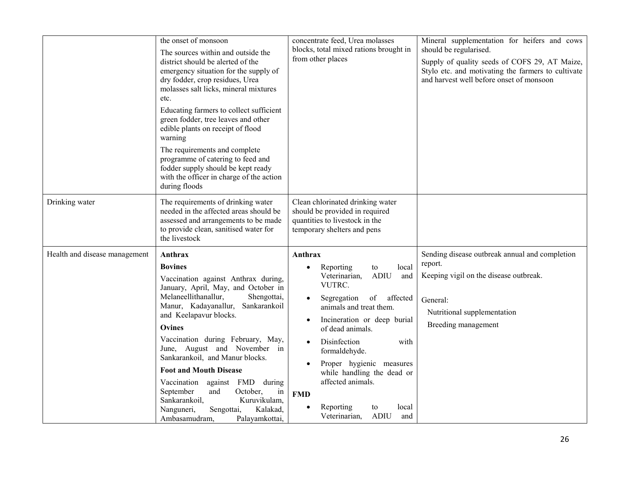|                               | the onset of monsoon<br>The sources within and outside the<br>district should be alerted of the<br>emergency situation for the supply of<br>dry fodder, crop residues, Urea<br>molasses salt licks, mineral mixtures<br>etc.<br>Educating farmers to collect sufficient<br>green fodder, tree leaves and other<br>edible plants on receipt of flood<br>warning<br>The requirements and complete<br>programme of catering to feed and<br>fodder supply should be kept ready<br>with the officer in charge of the action<br>during floods                        | concentrate feed, Urea molasses<br>blocks, total mixed rations brought in<br>from other places                                                                                                                                                                                                                                                                                                                                      | Mineral supplementation for heifers and cows<br>should be regularised.<br>Supply of quality seeds of COFS 29, AT Maize,<br>Stylo etc. and motivating the farmers to cultivate<br>and harvest well before onset of monsoon |
|-------------------------------|----------------------------------------------------------------------------------------------------------------------------------------------------------------------------------------------------------------------------------------------------------------------------------------------------------------------------------------------------------------------------------------------------------------------------------------------------------------------------------------------------------------------------------------------------------------|-------------------------------------------------------------------------------------------------------------------------------------------------------------------------------------------------------------------------------------------------------------------------------------------------------------------------------------------------------------------------------------------------------------------------------------|---------------------------------------------------------------------------------------------------------------------------------------------------------------------------------------------------------------------------|
| Drinking water                | The requirements of drinking water<br>needed in the affected areas should be<br>assessed and arrangements to be made<br>to provide clean, sanitised water for<br>the livestock                                                                                                                                                                                                                                                                                                                                                                                 | Clean chlorinated drinking water<br>should be provided in required<br>quantities to livestock in the<br>temporary shelters and pens                                                                                                                                                                                                                                                                                                 |                                                                                                                                                                                                                           |
| Health and disease management | Anthrax<br><b>Bovines</b><br>Vaccination against Anthrax during,<br>January, April, May, and October in<br>Melaneellithanallur,<br>Shengottai,<br>Manur, Kadayanallur, Sankarankoil<br>and Keelapavur blocks.<br><b>Ovines</b><br>Vaccination during February, May,<br>June, August and November in<br>Sankarankoil, and Manur blocks.<br><b>Foot and Mouth Disease</b><br>Vaccination<br>against FMD during<br>October,<br>September<br>and<br>in<br>Sankarankoil,<br>Kuruvikulam,<br>Kalakad,<br>Nanguneri,<br>Sengottai,<br>Ambasamudram,<br>Palayamkottai, | Anthrax<br>Reporting<br>local<br>to<br>Veterinarian,<br><b>ADIU</b><br>and<br>VUTRC.<br>Segregation of<br>affected<br>$\bullet$<br>animals and treat them.<br>Incineration or deep burial<br>$\bullet$<br>of dead animals.<br>Disinfection<br>with<br>formaldehyde.<br>Proper hygienic measures<br>while handling the dead or<br>affected animals.<br><b>FMD</b><br>Reporting<br>local<br>to<br>Veterinarian,<br><b>ADIU</b><br>and | Sending disease outbreak annual and completion<br>report.<br>Keeping vigil on the disease outbreak.<br>General:<br>Nutritional supplementation<br>Breeding management                                                     |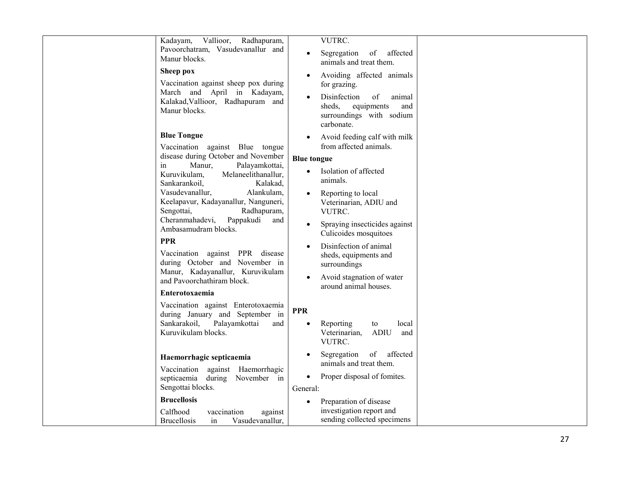|                  | Vallioor,<br>Radhapuram,<br>Kadayam,<br>Pavoorchatram, Vasudevanallur and<br>Manur blocks.<br>Sheep pox<br>Vaccination against sheep pox during<br>March and April in Kadayam,<br>Kalakad, Vallioor, Radhapuram and<br>Manur blocks.                                                                                                                                                                                                                                                                                       | $\bullet$<br>$\bullet$                                                     | VUTRC.<br>Segregation<br>of affected<br>animals and treat them.<br>Avoiding affected animals<br>for grazing.<br>Disinfection<br>of<br>animal<br>sheds,<br>equipments<br>and<br>surroundings with sodium<br>carbonate.                                                                                                                    |  |
|------------------|----------------------------------------------------------------------------------------------------------------------------------------------------------------------------------------------------------------------------------------------------------------------------------------------------------------------------------------------------------------------------------------------------------------------------------------------------------------------------------------------------------------------------|----------------------------------------------------------------------------|------------------------------------------------------------------------------------------------------------------------------------------------------------------------------------------------------------------------------------------------------------------------------------------------------------------------------------------|--|
| in<br><b>PPR</b> | <b>Blue Tongue</b><br>Vaccination against Blue tongue<br>disease during October and November<br>Manur,<br>Palayamkottai,<br>Kuruvikulam,<br>Melaneelithanallur,<br>Sankarankoil,<br>Kalakad,<br>Vasudevanallur,<br>Alankulam,<br>Keelapavur, Kadayanallur, Nanguneri,<br>Sengottai,<br>Radhapuram,<br>Cheranmahadevi,<br>Pappakudi<br>and<br>Ambasamudram blocks.<br>Vaccination against PPR disease<br>during October and November in<br>Manur, Kadayanallur, Kuruvikulam<br>and Pavoorchathiram block.<br>Enterotoxaemia | $\bullet$<br><b>Blue tongue</b><br>$\bullet$<br>$\bullet$                  | Avoid feeding calf with milk<br>from affected animals.<br>Isolation of affected<br>animals.<br>Reporting to local<br>Veterinarian, ADIU and<br>VUTRC.<br>Spraying insecticides against<br>Culicoides mosquitoes<br>Disinfection of animal<br>sheds, equipments and<br>surroundings<br>Avoid stagnation of water<br>around animal houses. |  |
|                  | Vaccination against Enterotoxaemia<br>during January and September in<br>Sankarakoil,<br>Palayamkottai<br>and<br>Kuruvikulam blocks.<br>Haemorrhagic septicaemia<br>Vaccination against Haemorrhagic<br>during November in<br>septicaemia<br>Sengottai blocks.<br><b>Brucellosis</b><br>Calfhood<br>vaccination<br>against<br>Vasudevanallur,<br><b>Brucellosis</b><br>in                                                                                                                                                  | <b>PPR</b><br>$\bullet$<br>$\bullet$<br>$\bullet$<br>General:<br>$\bullet$ | Reporting<br>local<br>to<br>Veterinarian,<br><b>ADIU</b><br>and<br>VUTRC.<br>of affected<br>Segregation<br>animals and treat them.<br>Proper disposal of fomites.<br>Preparation of disease<br>investigation report and<br>sending collected specimens                                                                                   |  |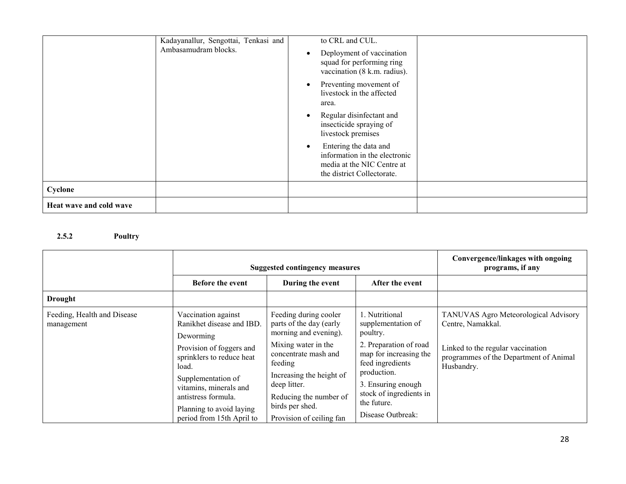|                         | Kadayanallur, Sengottai, Tenkasi and<br>Ambasamudram blocks. | to CRL and CUL.                                                                                                                 |
|-------------------------|--------------------------------------------------------------|---------------------------------------------------------------------------------------------------------------------------------|
|                         |                                                              | Deployment of vaccination<br>$\bullet$<br>squad for performing ring<br>vaccination (8 k.m. radius).                             |
|                         |                                                              | Preventing movement of<br>$\bullet$<br>livestock in the affected<br>area.                                                       |
|                         |                                                              | Regular disinfectant and<br>$\bullet$<br>insecticide spraying of<br>livestock premises                                          |
|                         |                                                              | Entering the data and<br>$\bullet$<br>information in the electronic<br>media at the NIC Centre at<br>the district Collectorate. |
| Cyclone                 |                                                              |                                                                                                                                 |
| Heat wave and cold wave |                                                              |                                                                                                                                 |

### 2.5.2 Poultry

|                                           |                                                                                                 | <b>Suggested contingency measures</b>                                                 | Convergence/linkages with ongoing<br>programs, if any                               |                                                                                           |
|-------------------------------------------|-------------------------------------------------------------------------------------------------|---------------------------------------------------------------------------------------|-------------------------------------------------------------------------------------|-------------------------------------------------------------------------------------------|
|                                           | Before the event                                                                                | During the event                                                                      | After the event                                                                     |                                                                                           |
| <b>Drought</b>                            |                                                                                                 |                                                                                       |                                                                                     |                                                                                           |
| Feeding, Health and Disease<br>management | Vaccination against<br>Ranikhet disease and IBD.<br>Deworming                                   | Feeding during cooler<br>parts of the day (early<br>morning and evening).             | 1. Nutritional<br>supplementation of<br>poultry.                                    | TANUVAS Agro Meteorological Advisory<br>Centre, Namakkal.                                 |
| load.                                     | Provision of foggers and<br>sprinklers to reduce heat                                           | Mixing water in the<br>concentrate mash and<br>feeding                                | 2. Preparation of road<br>map for increasing the<br>feed ingredients<br>production. | Linked to the regular vaccination<br>programmes of the Department of Animal<br>Husbandry. |
|                                           | Supplementation of<br>vitamins, minerals and<br>antistress formula.<br>Planning to avoid laying | Increasing the height of<br>deep litter.<br>Reducing the number of<br>birds per shed. | 3. Ensuring enough<br>stock of ingredients in<br>the future.                        |                                                                                           |
|                                           | period from 15th April to                                                                       | Provision of ceiling fan                                                              | Disease Outbreak:                                                                   |                                                                                           |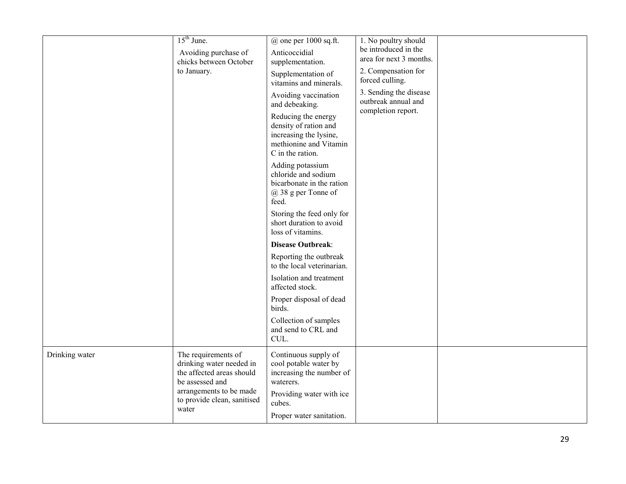|                | $15th$ June.<br>Avoiding purchase of<br>chicks between October<br>to January.                                                                                      | $@$ one per 1000 sq.ft.<br>Anticoccidial<br>supplementation.<br>Supplementation of<br>vitamins and minerals.<br>Avoiding vaccination<br>and debeaking.<br>Reducing the energy<br>density of ration and<br>increasing the lysine,<br>methionine and Vitamin<br>C in the ration.<br>Adding potassium<br>chloride and sodium<br>bicarbonate in the ration<br>$@38$ g per Tonne of<br>feed.<br>Storing the feed only for<br>short duration to avoid<br>loss of vitamins.<br><b>Disease Outbreak:</b><br>Reporting the outbreak<br>to the local veterinarian.<br>Isolation and treatment<br>affected stock.<br>Proper disposal of dead<br>birds.<br>Collection of samples<br>and send to CRL and<br>CUL. | 1. No poultry should<br>be introduced in the<br>area for next 3 months.<br>2. Compensation for<br>forced culling.<br>3. Sending the disease<br>outbreak annual and<br>completion report. |  |
|----------------|--------------------------------------------------------------------------------------------------------------------------------------------------------------------|-----------------------------------------------------------------------------------------------------------------------------------------------------------------------------------------------------------------------------------------------------------------------------------------------------------------------------------------------------------------------------------------------------------------------------------------------------------------------------------------------------------------------------------------------------------------------------------------------------------------------------------------------------------------------------------------------------|------------------------------------------------------------------------------------------------------------------------------------------------------------------------------------------|--|
| Drinking water | The requirements of<br>drinking water needed in<br>the affected areas should<br>be assessed and<br>arrangements to be made<br>to provide clean, sanitised<br>water | Continuous supply of<br>cool potable water by<br>increasing the number of<br>waterers.<br>Providing water with ice<br>cubes.<br>Proper water sanitation.                                                                                                                                                                                                                                                                                                                                                                                                                                                                                                                                            |                                                                                                                                                                                          |  |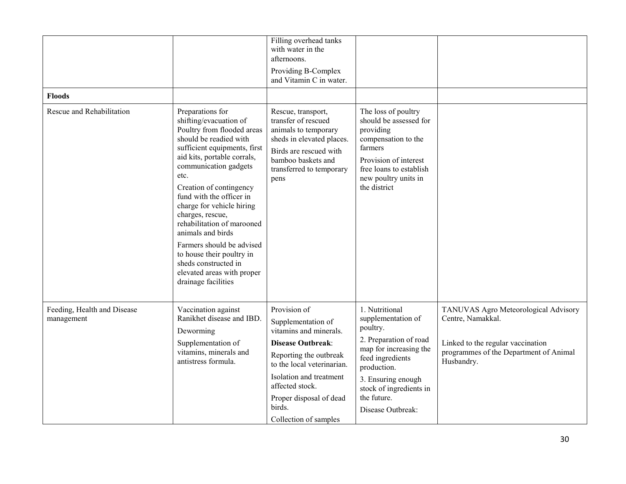| <b>Floods</b>                             |                                                                                                                                                                                                                                                                                                                                                                                                                                                                                                      | Filling overhead tanks<br>with water in the<br>afternoons.<br>Providing B-Complex<br>and Vitamin C in water.                                                                                                                                                 |                                                                                                                                                                                                                              |                                                                                                                                                        |
|-------------------------------------------|------------------------------------------------------------------------------------------------------------------------------------------------------------------------------------------------------------------------------------------------------------------------------------------------------------------------------------------------------------------------------------------------------------------------------------------------------------------------------------------------------|--------------------------------------------------------------------------------------------------------------------------------------------------------------------------------------------------------------------------------------------------------------|------------------------------------------------------------------------------------------------------------------------------------------------------------------------------------------------------------------------------|--------------------------------------------------------------------------------------------------------------------------------------------------------|
| Rescue and Rehabilitation                 | Preparations for<br>shifting/evacuation of<br>Poultry from flooded areas<br>should be readied with<br>sufficient equipments, first<br>aid kits, portable corrals,<br>communication gadgets<br>etc.<br>Creation of contingency<br>fund with the officer in<br>charge for vehicle hiring<br>charges, rescue,<br>rehabilitation of marooned<br>animals and birds<br>Farmers should be advised<br>to house their poultry in<br>sheds constructed in<br>elevated areas with proper<br>drainage facilities | Rescue, transport,<br>transfer of rescued<br>animals to temporary<br>sheds in elevated places.<br>Birds are rescued with<br>bamboo baskets and<br>transferred to temporary<br>pens                                                                           | The loss of poultry<br>should be assessed for<br>providing<br>compensation to the<br>farmers<br>Provision of interest<br>free loans to establish<br>new poultry units in<br>the district                                     |                                                                                                                                                        |
| Feeding, Health and Disease<br>management | Vaccination against<br>Ranikhet disease and IBD.<br>Deworming<br>Supplementation of<br>vitamins, minerals and<br>antistress formula.                                                                                                                                                                                                                                                                                                                                                                 | Provision of<br>Supplementation of<br>vitamins and minerals.<br><b>Disease Outbreak:</b><br>Reporting the outbreak<br>to the local veterinarian.<br>Isolation and treatment<br>affected stock.<br>Proper disposal of dead<br>birds.<br>Collection of samples | 1. Nutritional<br>supplementation of<br>poultry.<br>2. Preparation of road<br>map for increasing the<br>feed ingredients<br>production.<br>3. Ensuring enough<br>stock of ingredients in<br>the future.<br>Disease Outbreak: | TANUVAS Agro Meteorological Advisory<br>Centre, Namakkal.<br>Linked to the regular vaccination<br>programmes of the Department of Animal<br>Husbandry. |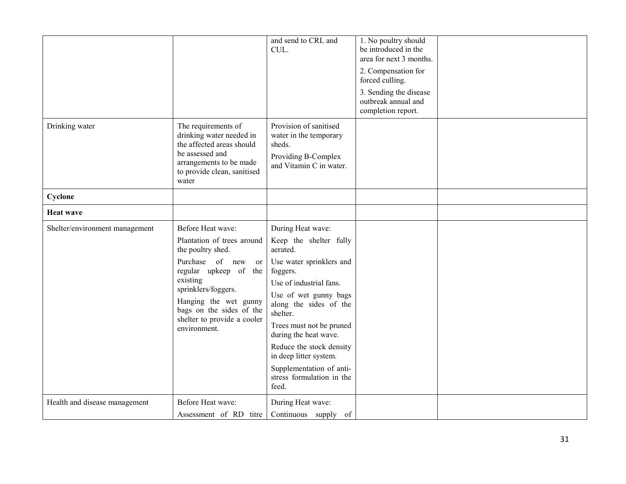|                                |                                                                                                                                                                                                                                                                          | and send to CRL and<br>CUL.                                                                                                                                                                                                                                                                                                                                            | 1. No poultry should<br>be introduced in the<br>area for next 3 months.<br>2. Compensation for<br>forced culling.<br>3. Sending the disease<br>outbreak annual and<br>completion report. |  |
|--------------------------------|--------------------------------------------------------------------------------------------------------------------------------------------------------------------------------------------------------------------------------------------------------------------------|------------------------------------------------------------------------------------------------------------------------------------------------------------------------------------------------------------------------------------------------------------------------------------------------------------------------------------------------------------------------|------------------------------------------------------------------------------------------------------------------------------------------------------------------------------------------|--|
| Drinking water                 | The requirements of<br>drinking water needed in<br>the affected areas should<br>be assessed and<br>arrangements to be made<br>to provide clean, sanitised<br>water                                                                                                       | Provision of sanitised<br>water in the temporary<br>sheds.<br>Providing B-Complex<br>and Vitamin C in water.                                                                                                                                                                                                                                                           |                                                                                                                                                                                          |  |
| Cyclone                        |                                                                                                                                                                                                                                                                          |                                                                                                                                                                                                                                                                                                                                                                        |                                                                                                                                                                                          |  |
| <b>Heat wave</b>               |                                                                                                                                                                                                                                                                          |                                                                                                                                                                                                                                                                                                                                                                        |                                                                                                                                                                                          |  |
| Shelter/environment management | Before Heat wave:<br>Plantation of trees around<br>the poultry shed.<br>Purchase of new<br><sub>or</sub><br>regular upkeep of the<br>existing<br>sprinklers/foggers.<br>Hanging the wet gunny<br>bags on the sides of the<br>shelter to provide a cooler<br>environment. | During Heat wave:<br>Keep the shelter fully<br>aerated.<br>Use water sprinklers and<br>foggers.<br>Use of industrial fans.<br>Use of wet gunny bags<br>along the sides of the<br>shelter.<br>Trees must not be pruned<br>during the heat wave.<br>Reduce the stock density<br>in deep litter system.<br>Supplementation of anti-<br>stress formulation in the<br>feed. |                                                                                                                                                                                          |  |
| Health and disease management  | Before Heat wave:<br>Assessment of RD titre                                                                                                                                                                                                                              | During Heat wave:<br>Continuous supply of                                                                                                                                                                                                                                                                                                                              |                                                                                                                                                                                          |  |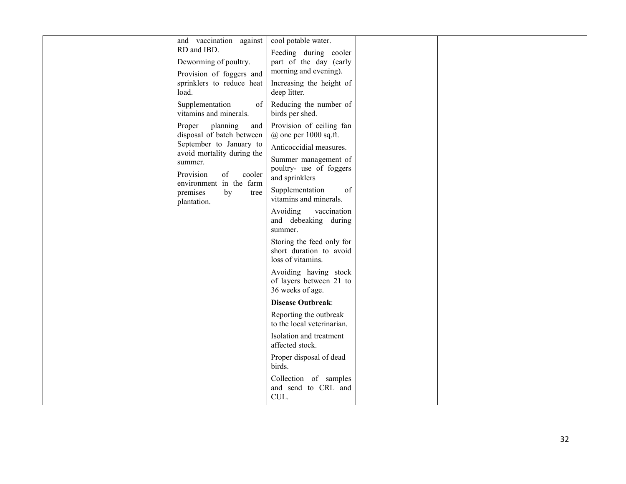| and vaccination against                                                                                                                                                                                                                                  | cool potable water.                                                                                                                                                                                                                                                                                                                                                                                                                                                                                                                                                                                                                                                                                                                                  |
|----------------------------------------------------------------------------------------------------------------------------------------------------------------------------------------------------------------------------------------------------------|------------------------------------------------------------------------------------------------------------------------------------------------------------------------------------------------------------------------------------------------------------------------------------------------------------------------------------------------------------------------------------------------------------------------------------------------------------------------------------------------------------------------------------------------------------------------------------------------------------------------------------------------------------------------------------------------------------------------------------------------------|
| RD and IBD.                                                                                                                                                                                                                                              | Feeding during cooler                                                                                                                                                                                                                                                                                                                                                                                                                                                                                                                                                                                                                                                                                                                                |
| Deworming of poultry.                                                                                                                                                                                                                                    | part of the day (early                                                                                                                                                                                                                                                                                                                                                                                                                                                                                                                                                                                                                                                                                                                               |
| Provision of foggers and                                                                                                                                                                                                                                 | morning and evening).                                                                                                                                                                                                                                                                                                                                                                                                                                                                                                                                                                                                                                                                                                                                |
| sprinklers to reduce heat                                                                                                                                                                                                                                | Increasing the height of                                                                                                                                                                                                                                                                                                                                                                                                                                                                                                                                                                                                                                                                                                                             |
| load.<br>Supplementation<br>vitamins and minerals.<br>planning<br>Proper<br>disposal of batch between<br>September to January to<br>avoid mortality during the<br>summer.<br>Provision<br>of<br>environment in the farm<br>premises<br>by<br>plantation. | deep litter.<br>Reducing the number of<br>of<br>birds per shed.<br>Provision of ceiling fan<br>and<br>$@$ one per 1000 sq.ft.<br>Anticoccidial measures.<br>Summer management of<br>poultry- use of foggers<br>cooler<br>and sprinklers<br>Supplementation<br>of<br>tree<br>vitamins and minerals.<br>Avoiding<br>vaccination<br>and debeaking during<br>summer.<br>Storing the feed only for<br>short duration to avoid<br>loss of vitamins.<br>Avoiding having stock<br>of layers between 21 to<br>36 weeks of age.<br><b>Disease Outbreak:</b><br>Reporting the outbreak<br>to the local veterinarian.<br>Isolation and treatment<br>affected stock.<br>Proper disposal of dead<br>birds.<br>Collection of samples<br>and send to CRL and<br>CUL. |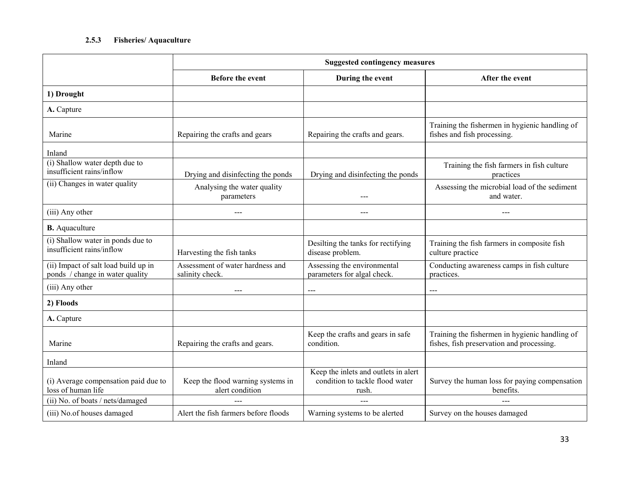#### 2.5.3Fisheries/ Aquaculture

|                                                                         | <b>Suggested contingency measures</b>                |                                                                                  |                                                                                             |  |
|-------------------------------------------------------------------------|------------------------------------------------------|----------------------------------------------------------------------------------|---------------------------------------------------------------------------------------------|--|
|                                                                         | Before the event                                     | During the event                                                                 | After the event                                                                             |  |
| 1) Drought                                                              |                                                      |                                                                                  |                                                                                             |  |
| A. Capture                                                              |                                                      |                                                                                  |                                                                                             |  |
| Marine                                                                  | Repairing the crafts and gears                       | Repairing the crafts and gears.                                                  | Training the fishermen in hygienic handling of<br>fishes and fish processing.               |  |
| Inland                                                                  |                                                      |                                                                                  |                                                                                             |  |
| (i) Shallow water depth due to<br>insufficient rains/inflow             | Drying and disinfecting the ponds                    | Drying and disinfecting the ponds                                                | Training the fish farmers in fish culture<br>practices                                      |  |
| (ii) Changes in water quality                                           | Analysing the water quality<br>parameters            |                                                                                  | Assessing the microbial load of the sediment<br>and water.                                  |  |
| (iii) Any other                                                         | ---                                                  | ---                                                                              | $---$                                                                                       |  |
| <b>B.</b> Aquaculture                                                   |                                                      |                                                                                  |                                                                                             |  |
| (i) Shallow water in ponds due to<br>insufficient rains/inflow          | Harvesting the fish tanks                            | Desilting the tanks for rectifying<br>disease problem.                           | Training the fish farmers in composite fish<br>culture practice                             |  |
| (ii) Impact of salt load build up in<br>ponds / change in water quality | Assessment of water hardness and<br>salinity check.  | Assessing the environmental<br>parameters for algal check.                       | Conducting awareness camps in fish culture<br>practices.                                    |  |
| (iii) Any other                                                         | $---$                                                | ---                                                                              | $\frac{1}{2}$                                                                               |  |
| 2) Floods                                                               |                                                      |                                                                                  |                                                                                             |  |
| A. Capture                                                              |                                                      |                                                                                  |                                                                                             |  |
| Marine                                                                  | Repairing the crafts and gears.                      | Keep the crafts and gears in safe<br>condition.                                  | Training the fishermen in hygienic handling of<br>fishes, fish preservation and processing. |  |
| Inland                                                                  |                                                      |                                                                                  |                                                                                             |  |
| (i) Average compensation paid due to<br>loss of human life              | Keep the flood warning systems in<br>alert condition | Keep the inlets and outlets in alert<br>condition to tackle flood water<br>rush. | Survey the human loss for paying compensation<br>benefits.                                  |  |
| (ii) No. of boats / nets/damaged                                        |                                                      |                                                                                  |                                                                                             |  |
| (iii) No.of houses damaged                                              | Alert the fish farmers before floods                 | Warning systems to be alerted                                                    | Survey on the houses damaged                                                                |  |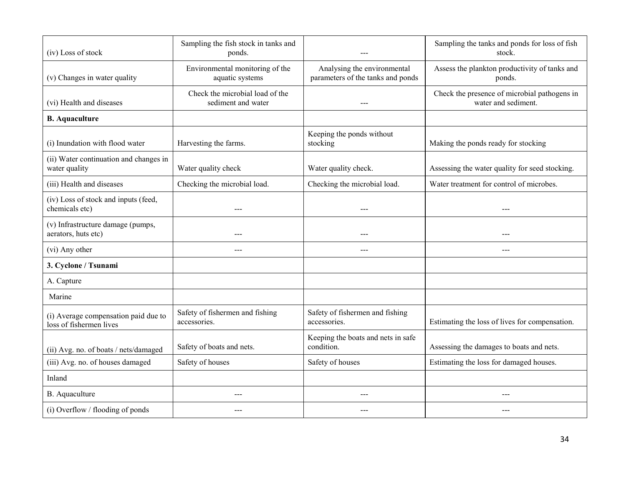| (iv) Loss of stock                                              | Sampling the fish stock in tanks and<br>ponds.        |                                                                  | Sampling the tanks and ponds for loss of fish<br>stock.             |
|-----------------------------------------------------------------|-------------------------------------------------------|------------------------------------------------------------------|---------------------------------------------------------------------|
| (v) Changes in water quality                                    | Environmental monitoring of the<br>aquatic systems    | Analysing the environmental<br>parameters of the tanks and ponds | Assess the plankton productivity of tanks and<br>ponds.             |
| (vi) Health and diseases                                        | Check the microbial load of the<br>sediment and water |                                                                  | Check the presence of microbial pathogens in<br>water and sediment. |
| <b>B.</b> Aquaculture                                           |                                                       |                                                                  |                                                                     |
| (i) Inundation with flood water                                 | Harvesting the farms.                                 | Keeping the ponds without<br>stocking                            | Making the ponds ready for stocking                                 |
| (ii) Water continuation and changes in<br>water quality         | Water quality check                                   | Water quality check.                                             | Assessing the water quality for seed stocking.                      |
| (iii) Health and diseases                                       | Checking the microbial load.                          | Checking the microbial load.                                     | Water treatment for control of microbes.                            |
| (iv) Loss of stock and inputs (feed,<br>chemicals etc)          | $---$                                                 | $---$                                                            | $---$                                                               |
| (v) Infrastructure damage (pumps,<br>aerators, huts etc)        |                                                       |                                                                  |                                                                     |
| (vi) Any other                                                  |                                                       | $---$                                                            | ---                                                                 |
| 3. Cyclone / Tsunami                                            |                                                       |                                                                  |                                                                     |
| A. Capture                                                      |                                                       |                                                                  |                                                                     |
| Marine                                                          |                                                       |                                                                  |                                                                     |
| (i) Average compensation paid due to<br>loss of fishermen lives | Safety of fishermen and fishing<br>accessories.       | Safety of fishermen and fishing<br>accessories.                  | Estimating the loss of lives for compensation.                      |
| (ii) Avg. no. of boats / nets/damaged                           | Safety of boats and nets.                             | Keeping the boats and nets in safe<br>condition.                 | Assessing the damages to boats and nets.                            |
| (iii) Avg. no. of houses damaged                                | Safety of houses                                      | Safety of houses                                                 | Estimating the loss for damaged houses.                             |
| Inland                                                          |                                                       |                                                                  |                                                                     |
| B. Aquaculture                                                  | $---$                                                 | $---$                                                            | ---                                                                 |
| (i) Overflow / flooding of ponds                                |                                                       |                                                                  |                                                                     |